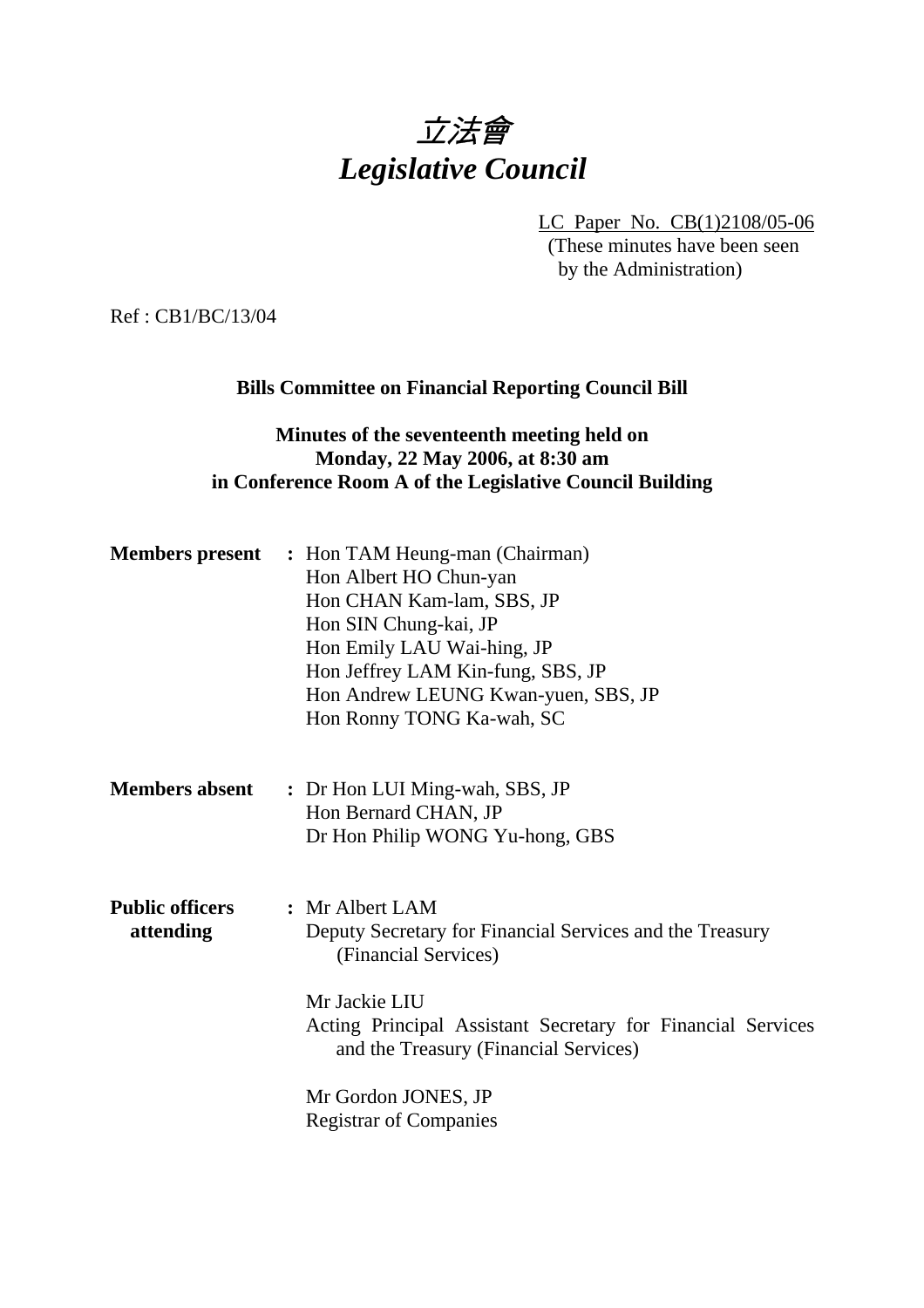# 立法會 *Legislative Council*

LC Paper No. CB(1)2108/05-06 (These minutes have been seen by the Administration)

Ref : CB1/BC/13/04

#### **Bills Committee on Financial Reporting Council Bill**

# **Minutes of the seventeenth meeting held on Monday, 22 May 2006, at 8:30 am in Conference Room A of the Legislative Council Building**

|                                     | <b>Members present</b> : Hon TAM Heung-man (Chairman)<br>Hon Albert HO Chun-yan<br>Hon CHAN Kam-lam, SBS, JP<br>Hon SIN Chung-kai, JP<br>Hon Emily LAU Wai-hing, JP<br>Hon Jeffrey LAM Kin-fung, SBS, JP<br>Hon Andrew LEUNG Kwan-yuen, SBS, JP<br>Hon Ronny TONG Ka-wah, SC         |
|-------------------------------------|--------------------------------------------------------------------------------------------------------------------------------------------------------------------------------------------------------------------------------------------------------------------------------------|
| <b>Members absent</b>               | : Dr Hon LUI Ming-wah, SBS, JP<br>Hon Bernard CHAN, JP<br>Dr Hon Philip WONG Yu-hong, GBS                                                                                                                                                                                            |
| <b>Public officers</b><br>attending | : Mr Albert LAM<br>Deputy Secretary for Financial Services and the Treasury<br>(Financial Services)<br>Mr Jackie LIU<br>Acting Principal Assistant Secretary for Financial Services<br>and the Treasury (Financial Services)<br>Mr Gordon JONES, JP<br><b>Registrar of Companies</b> |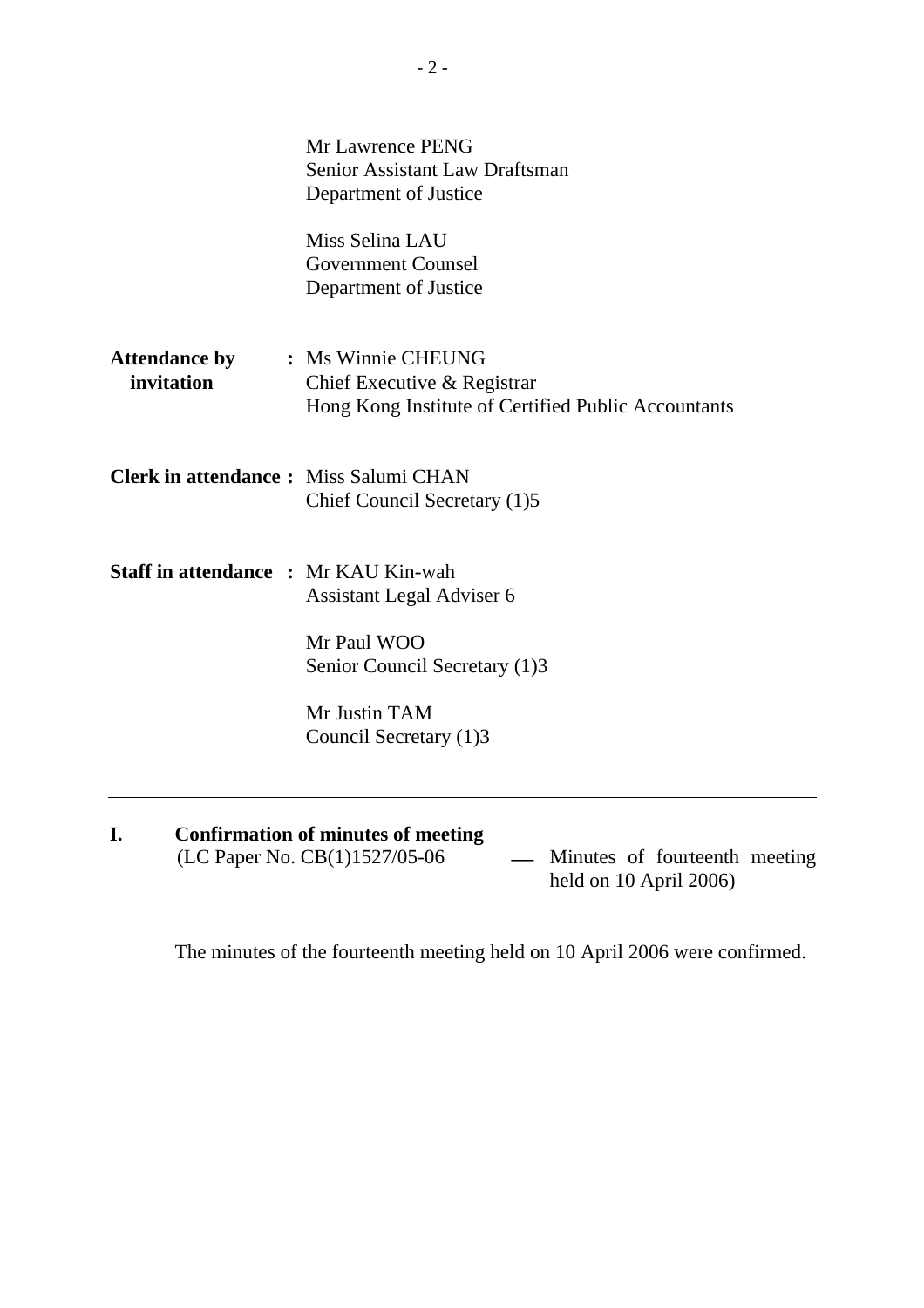|                                              | <b>Mr Lawrence PENG</b><br><b>Senior Assistant Law Draftsman</b><br>Department of Justice                            |
|----------------------------------------------|----------------------------------------------------------------------------------------------------------------------|
|                                              | Miss Selina LAU<br><b>Government Counsel</b><br>Department of Justice                                                |
| <b>Attendance by</b><br>invitation           | : Ms Winnie CHEUNG<br>Chief Executive & Registrar<br>Hong Kong Institute of Certified Public Accountants             |
| <b>Clerk in attendance:</b> Miss Salumi CHAN | Chief Council Secretary (1)5                                                                                         |
| <b>Staff in attendance : Mr KAU Kin-wah</b>  | Assistant Legal Adviser 6<br>Mr Paul WOO<br>Senior Council Secretary (1)3<br>Mr Justin TAM<br>Council Secretary (1)3 |

**I.** Confirmation of minutes of meeting (LC Paper No. CB(1)1527/05-06

- Minutes of fourteenth meeting held on 10 April 2006)

The minutes of the fourteenth meeting held on 10 April 2006 were confirmed.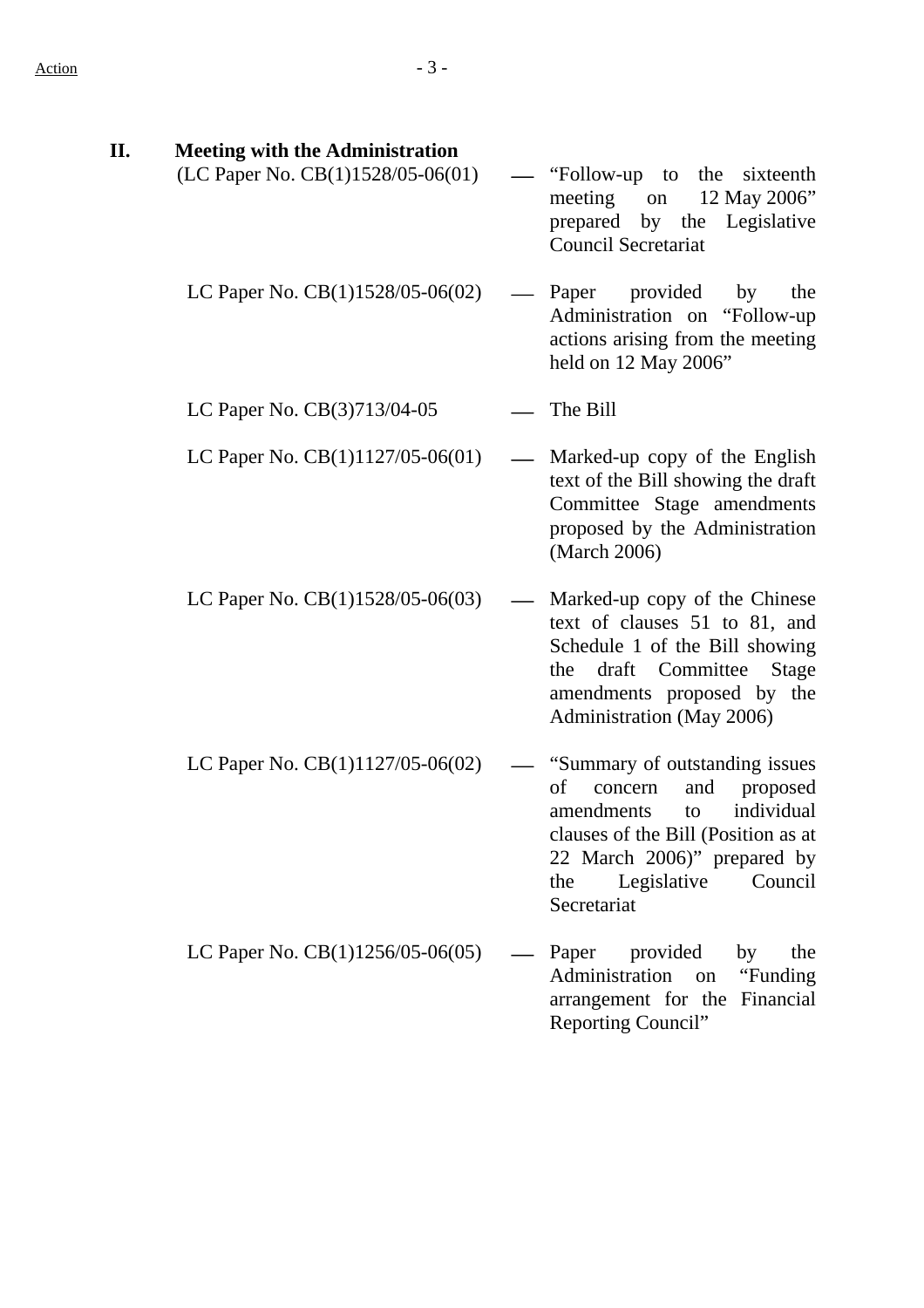| П. | <b>Meeting with the Administration</b> |                                                                                                                                                                                                                            |
|----|----------------------------------------|----------------------------------------------------------------------------------------------------------------------------------------------------------------------------------------------------------------------------|
|    | (LC Paper No. CB(1)1528/05-06(01)      | "Follow-up to"<br>the sixteenth<br>meeting<br>12 May 2006"<br>on<br>prepared by<br>the Legislative<br><b>Council Secretariat</b>                                                                                           |
|    | LC Paper No. CB(1)1528/05-06(02)       | — Paper<br>provided<br>the<br>by<br>Administration on "Follow-up<br>actions arising from the meeting<br>held on 12 May 2006"                                                                                               |
|    | LC Paper No. CB(3)713/04-05            | The Bill                                                                                                                                                                                                                   |
|    | LC Paper No. CB(1)1127/05-06(01)       | Marked-up copy of the English<br>text of the Bill showing the draft<br>Committee Stage amendments<br>proposed by the Administration<br>(March 2006)                                                                        |
|    | LC Paper No. CB(1)1528/05-06(03)       | Marked-up copy of the Chinese<br>text of clauses 51 to 81, and<br>Schedule 1 of the Bill showing<br>draft Committee<br><b>Stage</b><br>the<br>amendments proposed by the<br>Administration (May 2006)                      |
|    | LC Paper No. $CB(1)1127/05-06(02)$     | "Summary of outstanding issues<br>of<br>and<br>concern<br>proposed<br>individual<br>amendments<br>to<br>clauses of the Bill (Position as at<br>22 March 2006)" prepared by<br>Legislative<br>Council<br>the<br>Secretariat |
|    | LC Paper No. CB(1)1256/05-06(05)       | Paper provided<br>the<br>by<br>Administration<br>"Funding"<br>on<br>arrangement for the Financial<br>Reporting Council"                                                                                                    |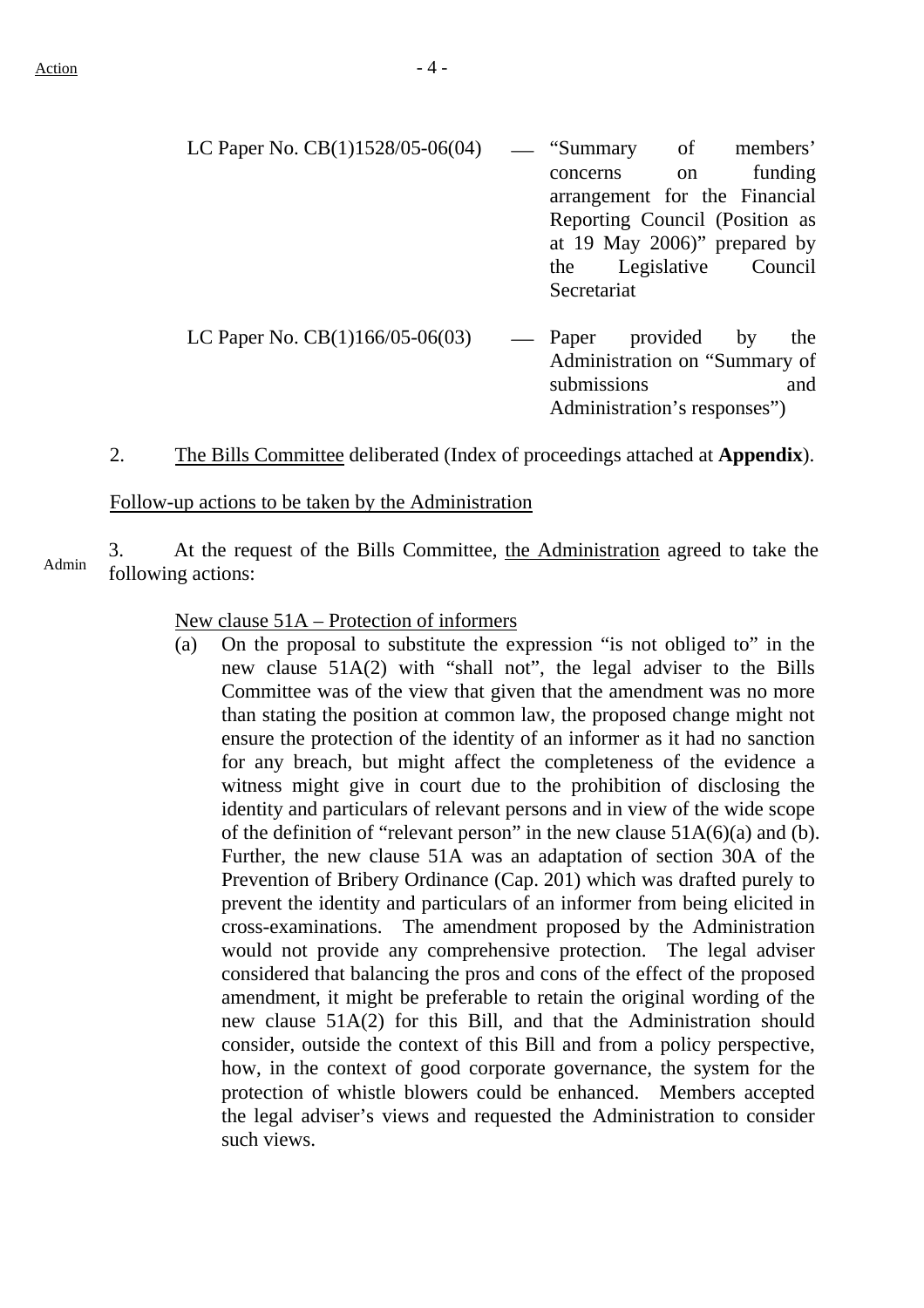| LC Paper No. $CB(1)1528/05-06(04)$ — "Summary of members" |             |          |                                |
|-----------------------------------------------------------|-------------|----------|--------------------------------|
|                                                           | concerns    | on       | funding                        |
|                                                           |             |          | arrangement for the Financial  |
|                                                           |             |          | Reporting Council (Position as |
|                                                           |             |          | at 19 May 2006)" prepared by   |
|                                                           |             |          | the Legislative Council        |
|                                                           | Secretariat |          |                                |
| LC Paper No. $CB(1)166/05-06(03)$                         | — Paper     | provided |                                |
|                                                           |             |          | by<br>the                      |
|                                                           |             |          | Administration on "Summary of  |

submissions and Administration's responses")

2. The Bills Committee deliberated (Index of proceedings attached at **Appendix**).

#### Follow-up actions to be taken by the Administration

3. At the request of the Bills Committee, the Administration agreed to take the Administration agreed to take the following actions:

New clause 51A – Protection of informers

(a) On the proposal to substitute the expression "is not obliged to" in the new clause 51A(2) with "shall not", the legal adviser to the Bills Committee was of the view that given that the amendment was no more than stating the position at common law, the proposed change might not ensure the protection of the identity of an informer as it had no sanction for any breach, but might affect the completeness of the evidence a witness might give in court due to the prohibition of disclosing the identity and particulars of relevant persons and in view of the wide scope of the definition of "relevant person" in the new clause  $51A(6)(a)$  and (b). Further, the new clause 51A was an adaptation of section 30A of the Prevention of Bribery Ordinance (Cap. 201) which was drafted purely to prevent the identity and particulars of an informer from being elicited in cross-examinations. The amendment proposed by the Administration would not provide any comprehensive protection. The legal adviser considered that balancing the pros and cons of the effect of the proposed amendment, it might be preferable to retain the original wording of the new clause 51A(2) for this Bill, and that the Administration should consider, outside the context of this Bill and from a policy perspective, how, in the context of good corporate governance, the system for the protection of whistle blowers could be enhanced. Members accepted the legal adviser's views and requested the Administration to consider such views.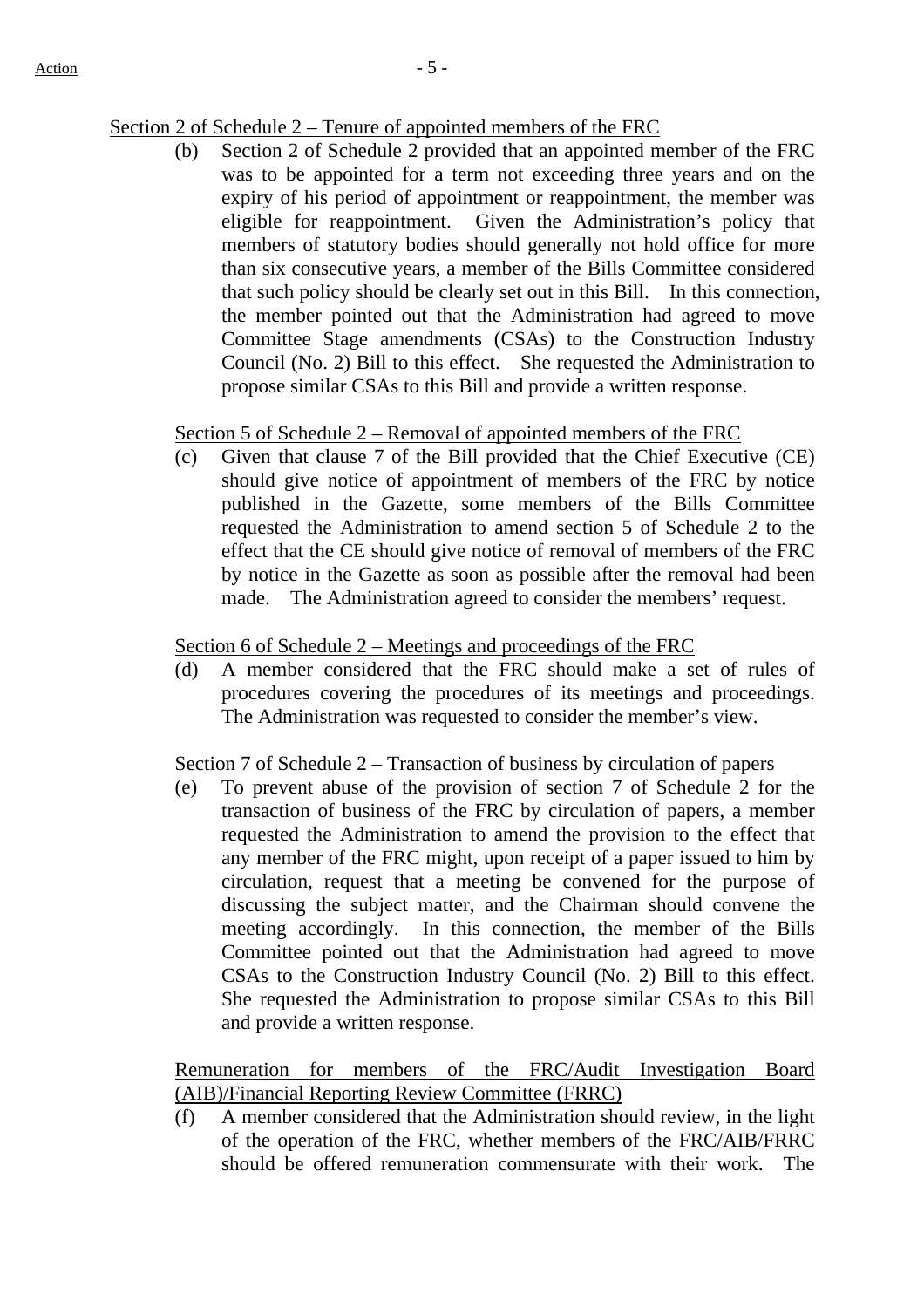### Section 2 of Schedule 2 – Tenure of appointed members of the FRC

(b) Section 2 of Schedule 2 provided that an appointed member of the FRC was to be appointed for a term not exceeding three years and on the expiry of his period of appointment or reappointment, the member was eligible for reappointment. Given the Administration's policy that members of statutory bodies should generally not hold office for more than six consecutive years, a member of the Bills Committee considered that such policy should be clearly set out in this Bill. In this connection, the member pointed out that the Administration had agreed to move Committee Stage amendments (CSAs) to the Construction Industry Council (No. 2) Bill to this effect. She requested the Administration to propose similar CSAs to this Bill and provide a written response.

### Section 5 of Schedule 2 – Removal of appointed members of the FRC

(c) Given that clause 7 of the Bill provided that the Chief Executive (CE) should give notice of appointment of members of the FRC by notice published in the Gazette, some members of the Bills Committee requested the Administration to amend section 5 of Schedule 2 to the effect that the CE should give notice of removal of members of the FRC by notice in the Gazette as soon as possible after the removal had been made. The Administration agreed to consider the members' request.

#### Section 6 of Schedule 2 – Meetings and proceedings of the FRC

(d) A member considered that the FRC should make a set of rules of procedures covering the procedures of its meetings and proceedings. The Administration was requested to consider the member's view.

#### Section 7 of Schedule 2 – Transaction of business by circulation of papers

(e) To prevent abuse of the provision of section 7 of Schedule 2 for the transaction of business of the FRC by circulation of papers, a member requested the Administration to amend the provision to the effect that any member of the FRC might, upon receipt of a paper issued to him by circulation, request that a meeting be convened for the purpose of discussing the subject matter, and the Chairman should convene the meeting accordingly. In this connection, the member of the Bills Committee pointed out that the Administration had agreed to move CSAs to the Construction Industry Council (No. 2) Bill to this effect. She requested the Administration to propose similar CSAs to this Bill and provide a written response.

Remuneration for members of the FRC/Audit Investigation Board (AIB)/Financial Reporting Review Committee (FRRC)

(f) A member considered that the Administration should review, in the light of the operation of the FRC, whether members of the FRC/AIB/FRRC should be offered remuneration commensurate with their work. The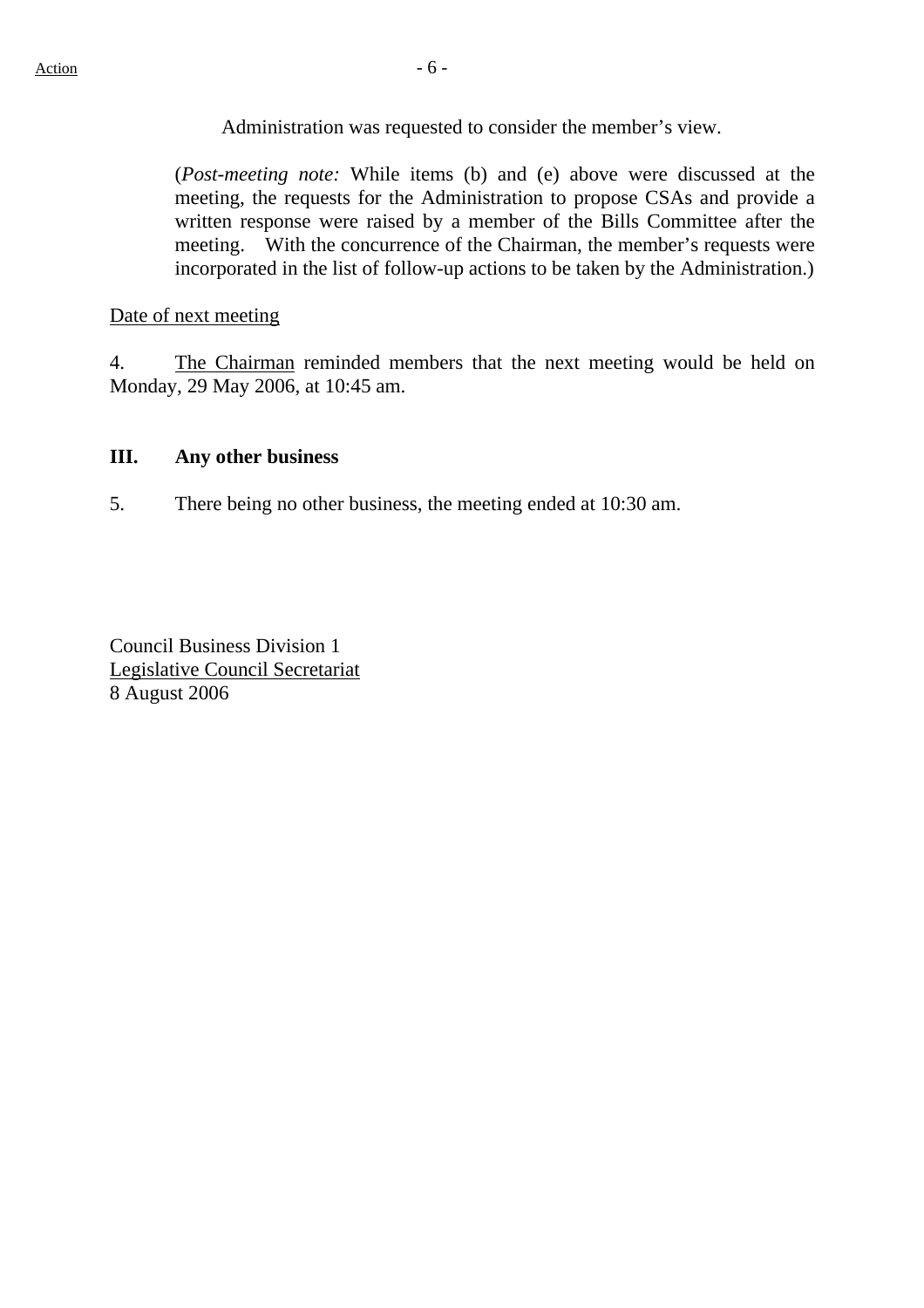Administration was requested to consider the member's view.

(*Post-meeting note:* While items (b) and (e) above were discussed at the meeting, the requests for the Administration to propose CSAs and provide a written response were raised by a member of the Bills Committee after the meeting. With the concurrence of the Chairman, the member's requests were incorporated in the list of follow-up actions to be taken by the Administration.)

Date of next meeting

4. The Chairman reminded members that the next meeting would be held on Monday, 29 May 2006, at 10:45 am.

#### **III. Any other business**

5. There being no other business, the meeting ended at 10:30 am.

Council Business Division 1 Legislative Council Secretariat 8 August 2006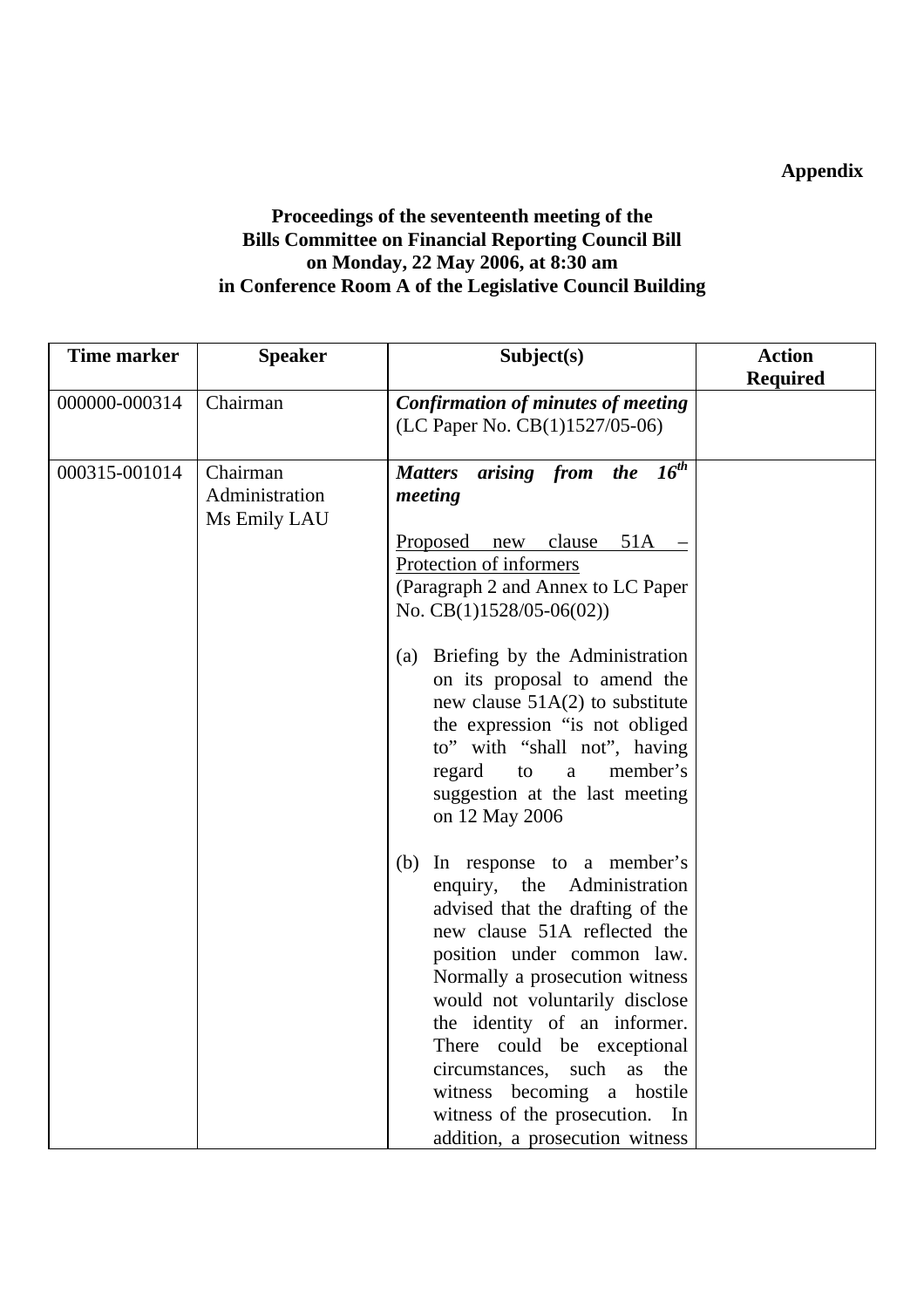# **Appendix**

# **Proceedings of the seventeenth meeting of the Bills Committee on Financial Reporting Council Bill on Monday, 22 May 2006, at 8:30 am in Conference Room A of the Legislative Council Building**

| <b>Time marker</b> | <b>Speaker</b>                             | Subject(s)                                                                                                                                                                                                                                                                                                                                                                                                                                       | <b>Action</b>   |
|--------------------|--------------------------------------------|--------------------------------------------------------------------------------------------------------------------------------------------------------------------------------------------------------------------------------------------------------------------------------------------------------------------------------------------------------------------------------------------------------------------------------------------------|-----------------|
|                    |                                            |                                                                                                                                                                                                                                                                                                                                                                                                                                                  | <b>Required</b> |
| 000000-000314      | Chairman                                   | <b>Confirmation of minutes of meeting</b><br>(LC Paper No. CB(1)1527/05-06)                                                                                                                                                                                                                                                                                                                                                                      |                 |
| 000315-001014      | Chairman<br>Administration<br>Ms Emily LAU | arising from the $16^{th}$<br><b>Matters</b><br>meeting<br>new clause<br>$51A -$<br>Proposed<br>Protection of informers<br>(Paragraph 2 and Annex to LC Paper<br>No. $CB(1)1528/05-06(02))$                                                                                                                                                                                                                                                      |                 |
|                    |                                            | Briefing by the Administration<br>(a)<br>on its proposal to amend the<br>new clause $51A(2)$ to substitute<br>the expression "is not obliged<br>to" with "shall not", having<br>member's<br>regard<br>to<br>$\mathbf{a}$<br>suggestion at the last meeting<br>on 12 May 2006                                                                                                                                                                     |                 |
|                    |                                            | (b) In response to a member's<br>the<br>Administration<br>enquiry,<br>advised that the drafting of the<br>new clause 51A reflected the<br>position under common law.<br>Normally a prosecution witness<br>would not voluntarily disclose<br>the identity of an informer.<br>There could be exceptional<br>circumstances, such<br>as<br>the<br>witness becoming a hostile<br>witness of the prosecution.<br>In<br>addition, a prosecution witness |                 |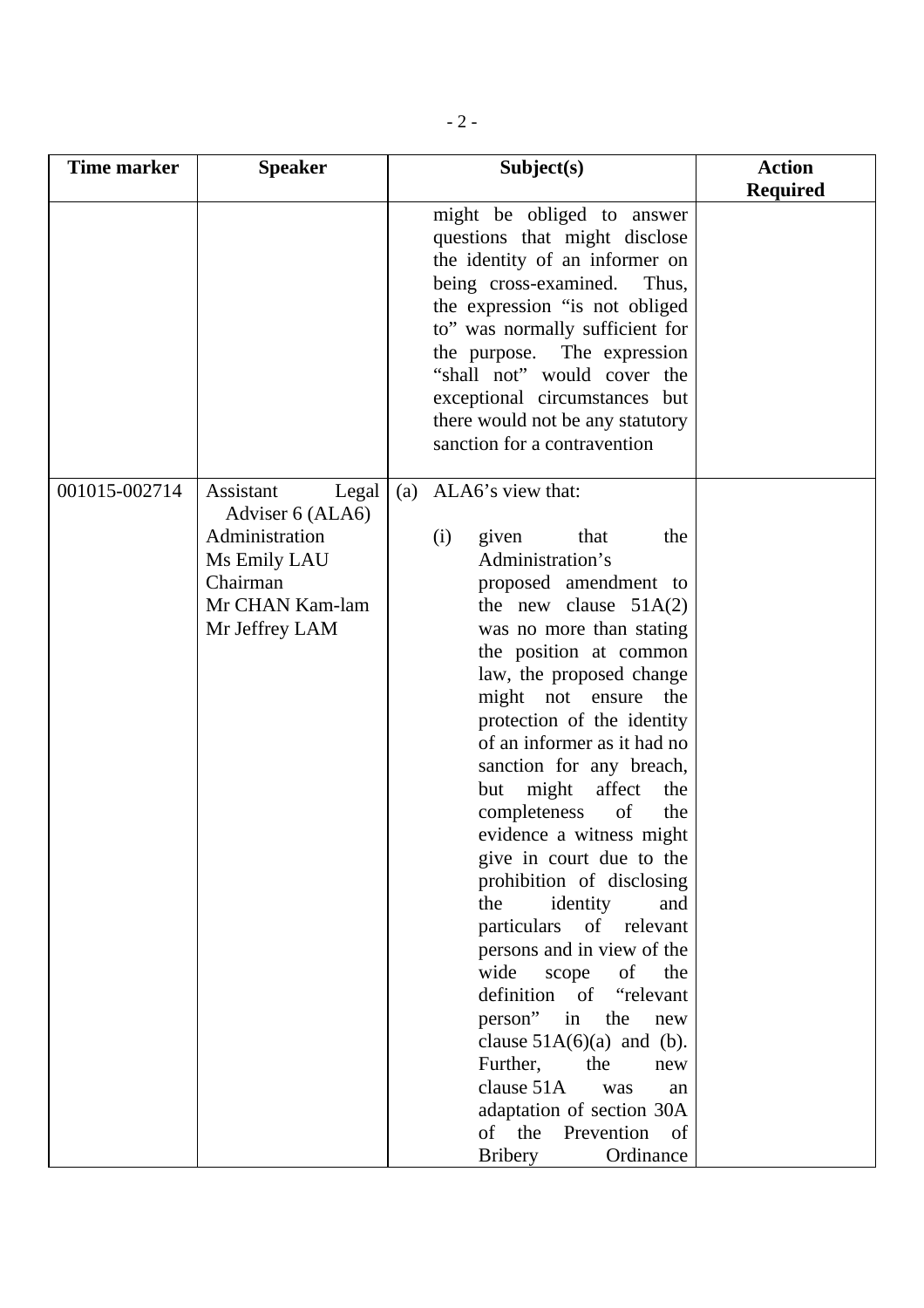| <b>Time marker</b> | <b>Speaker</b>                                                                                                            | Subject(s)                                                                                                                                                                                                                                                                                                                                                                                                                                                                                                                                                                                                                                                                                                                                                                                                                                     | <b>Action</b><br><b>Required</b> |
|--------------------|---------------------------------------------------------------------------------------------------------------------------|------------------------------------------------------------------------------------------------------------------------------------------------------------------------------------------------------------------------------------------------------------------------------------------------------------------------------------------------------------------------------------------------------------------------------------------------------------------------------------------------------------------------------------------------------------------------------------------------------------------------------------------------------------------------------------------------------------------------------------------------------------------------------------------------------------------------------------------------|----------------------------------|
|                    |                                                                                                                           | might be obliged to answer<br>questions that might disclose<br>the identity of an informer on<br>being cross-examined.<br>Thus,<br>the expression "is not obliged<br>to" was normally sufficient for<br>the purpose. The expression<br>"shall not" would cover the<br>exceptional circumstances but<br>there would not be any statutory<br>sanction for a contravention                                                                                                                                                                                                                                                                                                                                                                                                                                                                        |                                  |
| 001015-002714      | Assistant<br>Legal<br>Adviser 6 (ALA6)<br>Administration<br>Ms Emily LAU<br>Chairman<br>Mr CHAN Kam-lam<br>Mr Jeffrey LAM | ALA6's view that:<br>(a)<br>that<br>(i)<br>given<br>the<br>Administration's<br>proposed amendment to<br>the new clause $51A(2)$<br>was no more than stating<br>the position at common<br>law, the proposed change<br>might not ensure<br>the<br>protection of the identity<br>of an informer as it had no<br>sanction for any breach,<br>but might<br>affect<br>the<br>completeness<br>of<br>the<br>evidence a witness might<br>give in court due to the<br>prohibition of disclosing<br>the<br>identity<br>and<br>particulars of relevant<br>persons and in view of the<br>wide<br>scope<br>the<br>of<br>definition of "relevant<br>in<br>person"<br>the<br>new<br>clause $51A(6)(a)$ and (b).<br>Further,<br>the<br>new<br>clause 51A<br>was<br>an<br>adaptation of section 30A<br>of the<br>Prevention<br>of<br><b>Bribery</b><br>Ordinance |                                  |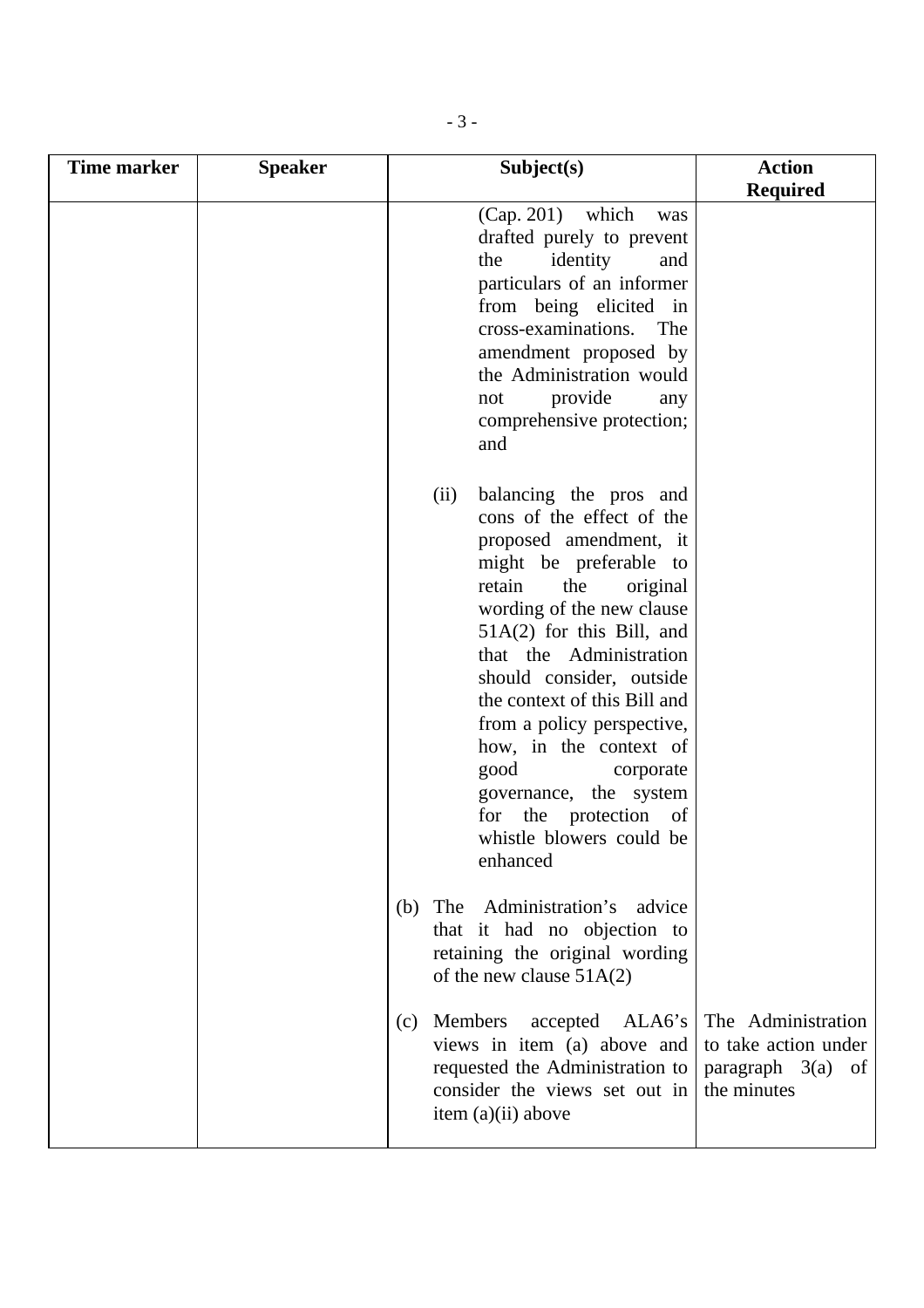| <b>Time marker</b> | <b>Speaker</b> | Subject(s)                                                                                                                                                                                                                                                                                                                                                                                                                                                                    | <b>Action</b>                                                                    |
|--------------------|----------------|-------------------------------------------------------------------------------------------------------------------------------------------------------------------------------------------------------------------------------------------------------------------------------------------------------------------------------------------------------------------------------------------------------------------------------------------------------------------------------|----------------------------------------------------------------------------------|
|                    |                |                                                                                                                                                                                                                                                                                                                                                                                                                                                                               | <b>Required</b>                                                                  |
|                    |                | $(Cap. 201)$ which<br>was<br>drafted purely to prevent<br>the<br>identity<br>and<br>particulars of an informer<br>from being elicited in<br>cross-examinations.<br>The<br>amendment proposed by<br>the Administration would<br>provide<br>not<br>any<br>comprehensive protection;<br>and                                                                                                                                                                                      |                                                                                  |
|                    |                | balancing the pros and<br>(ii)<br>cons of the effect of the<br>proposed amendment, it<br>might be preferable to<br>retain<br>the<br>original<br>wording of the new clause<br>$51A(2)$ for this Bill, and<br>that the Administration<br>should consider, outside<br>the context of this Bill and<br>from a policy perspective,<br>how, in the context of<br>good<br>corporate<br>governance, the system<br>the protection<br>for<br>of<br>whistle blowers could be<br>enhanced |                                                                                  |
|                    |                | The<br>Administration's<br>advice<br>(b)<br>that it had no objection to<br>retaining the original wording<br>of the new clause $51A(2)$                                                                                                                                                                                                                                                                                                                                       |                                                                                  |
|                    |                | Members<br>ALA6's<br>accepted<br>(c)<br>views in item (a) above and<br>requested the Administration to<br>consider the views set out in<br>item $(a)(ii)$ above                                                                                                                                                                                                                                                                                                               | The Administration<br>to take action under<br>paragraph $3(a)$ of<br>the minutes |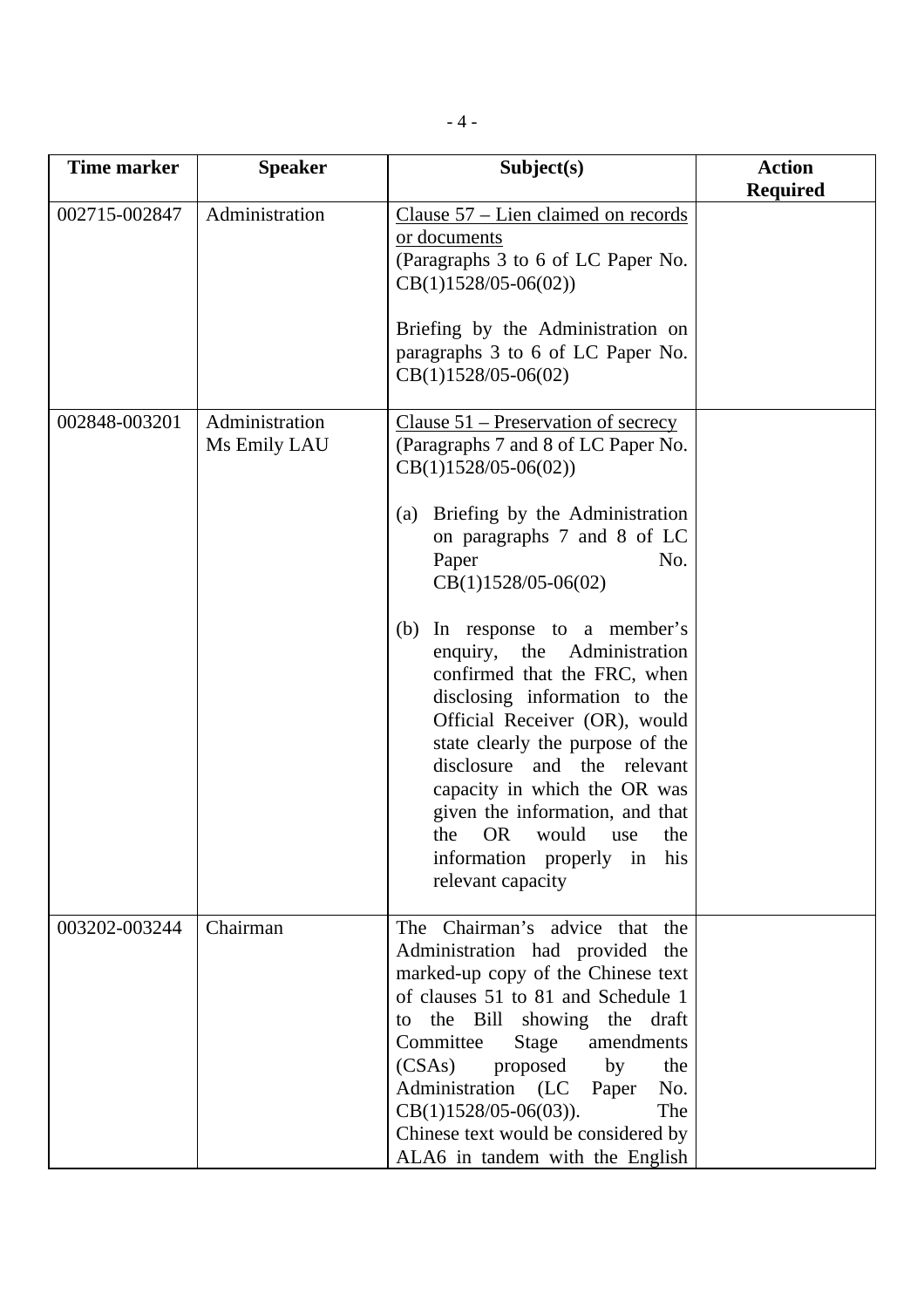| <b>Time marker</b> | <b>Speaker</b>                 | Subject(s)                                                                                                                                                                                                                                                                                                                                                                                                                                                                                                                                                                                                                        | <b>Action</b><br><b>Required</b> |
|--------------------|--------------------------------|-----------------------------------------------------------------------------------------------------------------------------------------------------------------------------------------------------------------------------------------------------------------------------------------------------------------------------------------------------------------------------------------------------------------------------------------------------------------------------------------------------------------------------------------------------------------------------------------------------------------------------------|----------------------------------|
| 002715-002847      | Administration                 | Clause 57 – Lien claimed on records<br>or documents<br>(Paragraphs 3 to 6 of LC Paper No.<br>$CB(1)1528/05-06(02))$<br>Briefing by the Administration on<br>paragraphs 3 to 6 of LC Paper No.<br>$CB(1)1528/05-06(02)$                                                                                                                                                                                                                                                                                                                                                                                                            |                                  |
| 002848-003201      | Administration<br>Ms Emily LAU | Clause $51$ – Preservation of secrecy<br>(Paragraphs 7 and 8 of LC Paper No.<br>$CB(1)1528/05-06(02))$<br>Briefing by the Administration<br>(a)<br>on paragraphs 7 and 8 of LC<br>Paper<br>No.<br>$CB(1)1528/05-06(02)$<br>In response to a member's<br>(b)<br>enquiry, the Administration<br>confirmed that the FRC, when<br>disclosing information to the<br>Official Receiver (OR), would<br>state clearly the purpose of the<br>disclosure and the relevant<br>capacity in which the OR was<br>given the information, and that<br><b>OR</b><br>the<br>would<br>the<br>use<br>information properly in his<br>relevant capacity |                                  |
| 003202-003244      | Chairman                       | The Chairman's advice that the<br>Administration had provided the<br>marked-up copy of the Chinese text<br>of clauses 51 to 81 and Schedule 1<br>to the Bill showing the draft<br>Committee<br>Stage<br>amendments<br>proposed<br>(CSAs)<br>by<br>the<br>Administration (LC Paper<br>No.<br>$CB(1)1528/05-06(03)).$<br>The<br>Chinese text would be considered by<br>ALA6 in tandem with the English                                                                                                                                                                                                                              |                                  |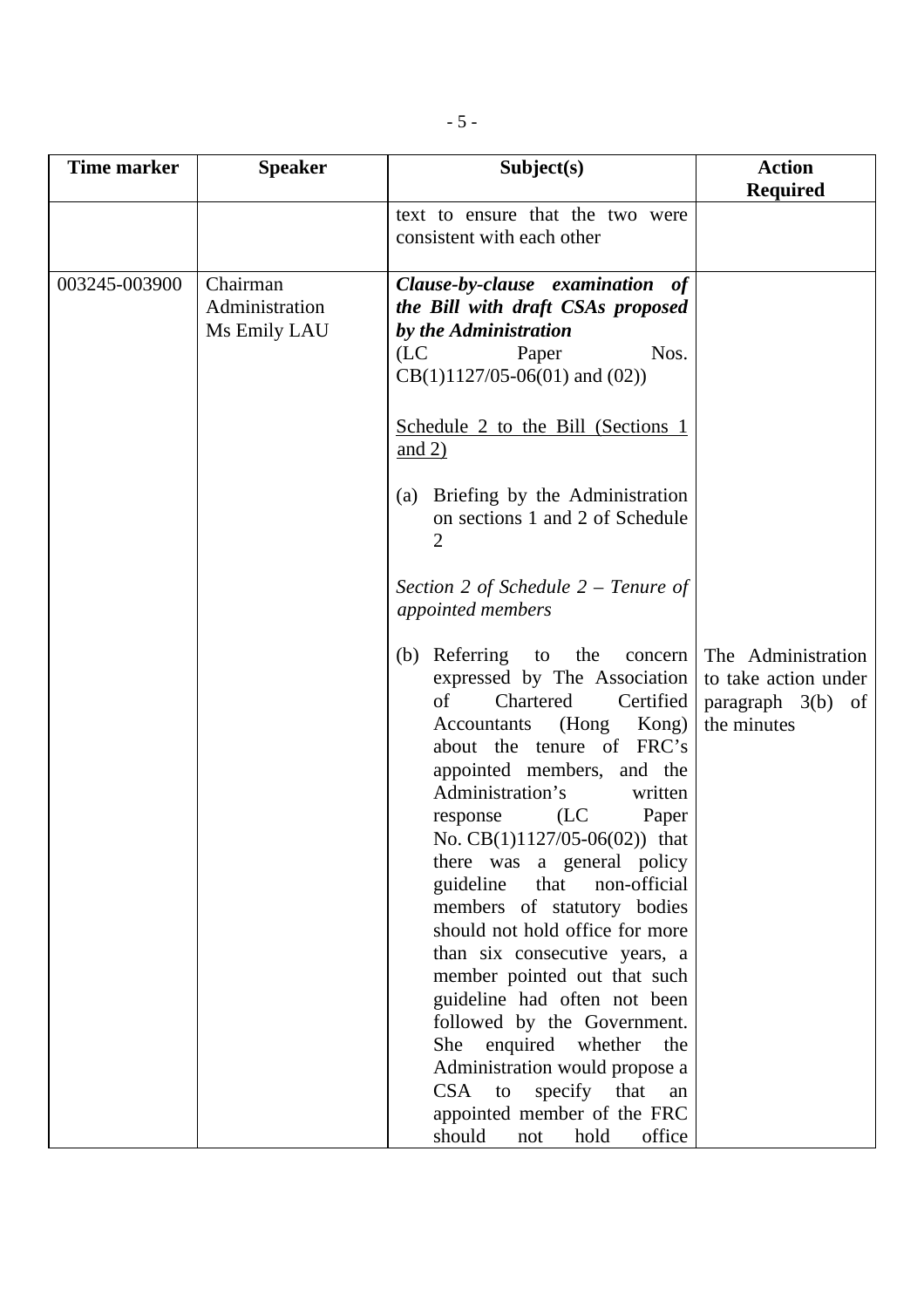| <b>Time marker</b> | <b>Speaker</b>                             | Subject(s)                                                                                                                                                                                                                                                                                                                                                                                                                                                                                                                                                                                                                                                                                                              | <b>Action</b><br><b>Required</b>                                                       |
|--------------------|--------------------------------------------|-------------------------------------------------------------------------------------------------------------------------------------------------------------------------------------------------------------------------------------------------------------------------------------------------------------------------------------------------------------------------------------------------------------------------------------------------------------------------------------------------------------------------------------------------------------------------------------------------------------------------------------------------------------------------------------------------------------------------|----------------------------------------------------------------------------------------|
|                    |                                            | text to ensure that the two were<br>consistent with each other                                                                                                                                                                                                                                                                                                                                                                                                                                                                                                                                                                                                                                                          |                                                                                        |
| 003245-003900      | Chairman<br>Administration<br>Ms Emily LAU | Clause-by-clause examination of<br>the Bill with draft CSAs proposed<br>by the Administration<br>(LC)<br>Paper<br>Nos.<br>$CB(1)1127/05-06(01)$ and $(02)$ )<br>Schedule 2 to the Bill (Sections 1                                                                                                                                                                                                                                                                                                                                                                                                                                                                                                                      |                                                                                        |
|                    |                                            | and $2)$<br>Briefing by the Administration<br>(a)<br>on sections 1 and 2 of Schedule<br>2                                                                                                                                                                                                                                                                                                                                                                                                                                                                                                                                                                                                                               |                                                                                        |
|                    |                                            | Section 2 of Schedule $2$ – Tenure of<br>appointed members                                                                                                                                                                                                                                                                                                                                                                                                                                                                                                                                                                                                                                                              |                                                                                        |
|                    |                                            | (b) Referring to the<br>expressed by The Association<br>Chartered<br>Certified<br>of<br>Accountants (Hong Kong)<br>about the tenure of FRC's<br>appointed members, and the<br>Administration's<br>written<br>(LC)<br>Paper<br>response<br>No. $CB(1)1127/05-06(02))$ that<br>there was a general policy<br>non-official<br>guideline<br>that<br>members of statutory bodies<br>should not hold office for more<br>than six consecutive years, a<br>member pointed out that such<br>guideline had often not been<br>followed by the Government.<br>enquired whether<br>She<br>the<br>Administration would propose a<br>specify that<br>CSA<br>to<br>an<br>appointed member of the FRC<br>should<br>office<br>hold<br>not | concern The Administration<br>to take action under<br>paragraph 3(b) of<br>the minutes |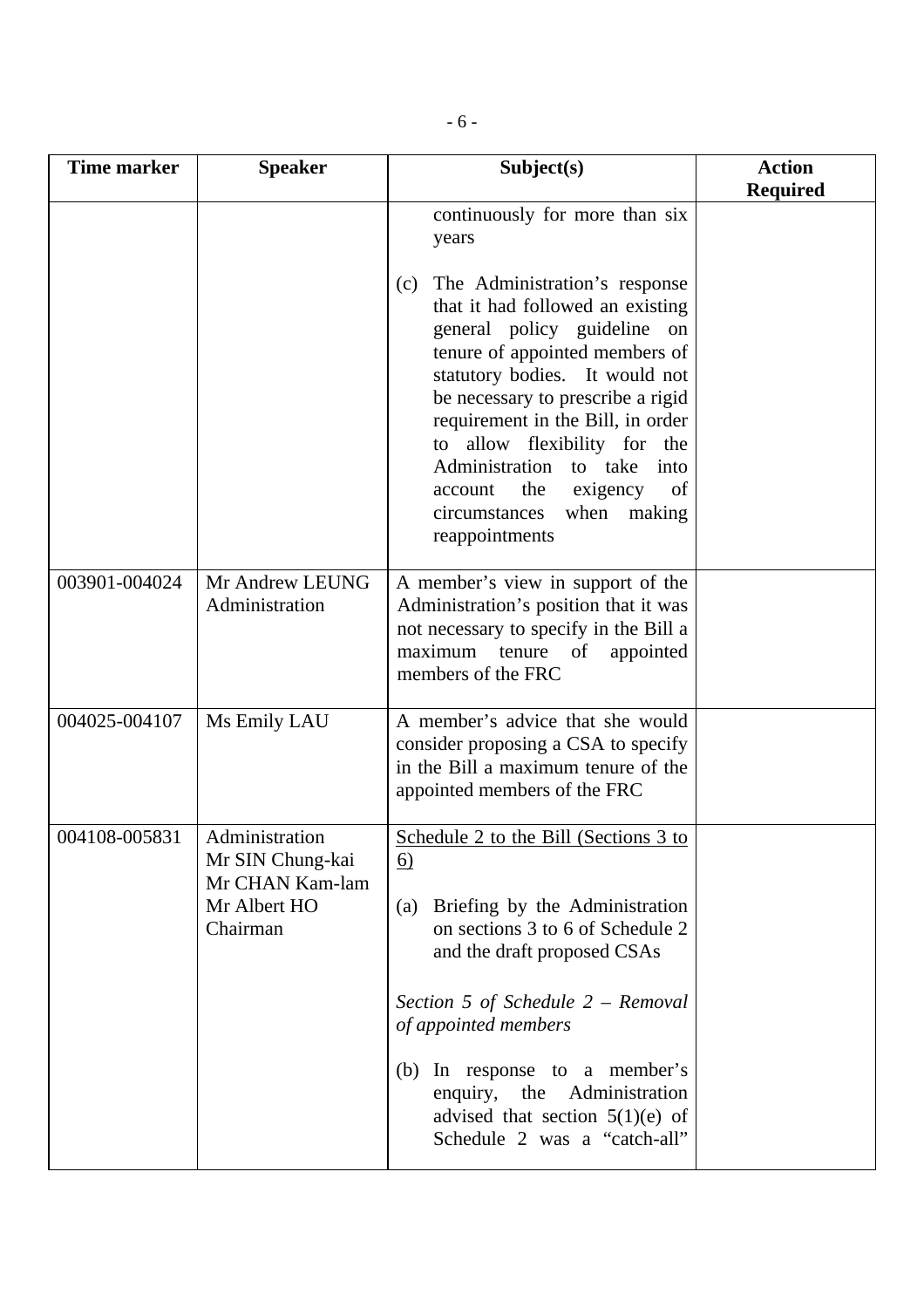| <b>Time marker</b> | <b>Speaker</b>                                                                    | Subject(s)                                                                                                                                                                                                                                                                                                                                                                                                       | <b>Action</b><br><b>Required</b> |
|--------------------|-----------------------------------------------------------------------------------|------------------------------------------------------------------------------------------------------------------------------------------------------------------------------------------------------------------------------------------------------------------------------------------------------------------------------------------------------------------------------------------------------------------|----------------------------------|
|                    |                                                                                   | continuously for more than six<br>years                                                                                                                                                                                                                                                                                                                                                                          |                                  |
|                    |                                                                                   | The Administration's response<br>(c)<br>that it had followed an existing<br>general policy guideline on<br>tenure of appointed members of<br>statutory bodies. It would not<br>be necessary to prescribe a rigid<br>requirement in the Bill, in order<br>to allow flexibility for the<br>Administration<br>to take<br>into<br>exigency<br>the<br>account<br>of<br>when making<br>circumstances<br>reappointments |                                  |
| 003901-004024      | Mr Andrew LEUNG<br>Administration                                                 | A member's view in support of the<br>Administration's position that it was<br>not necessary to specify in the Bill a<br>maximum<br>tenure<br>of<br>appointed<br>members of the FRC                                                                                                                                                                                                                               |                                  |
| 004025-004107      | Ms Emily LAU                                                                      | A member's advice that she would<br>consider proposing a CSA to specify<br>in the Bill a maximum tenure of the<br>appointed members of the FRC                                                                                                                                                                                                                                                                   |                                  |
| 004108-005831      | Administration<br>Mr SIN Chung-kai<br>Mr CHAN Kam-lam<br>Mr Albert HO<br>Chairman | Schedule 2 to the Bill (Sections 3 to<br><u>6)</u><br>Briefing by the Administration<br>(a)<br>on sections 3 to 6 of Schedule 2<br>and the draft proposed CSAs<br>Section 5 of Schedule $2 -$ Removal                                                                                                                                                                                                            |                                  |
|                    |                                                                                   | of appointed members<br>(b) In response to a member's<br>enquiry, the<br>Administration<br>advised that section $5(1)(e)$ of<br>Schedule 2 was a "catch-all"                                                                                                                                                                                                                                                     |                                  |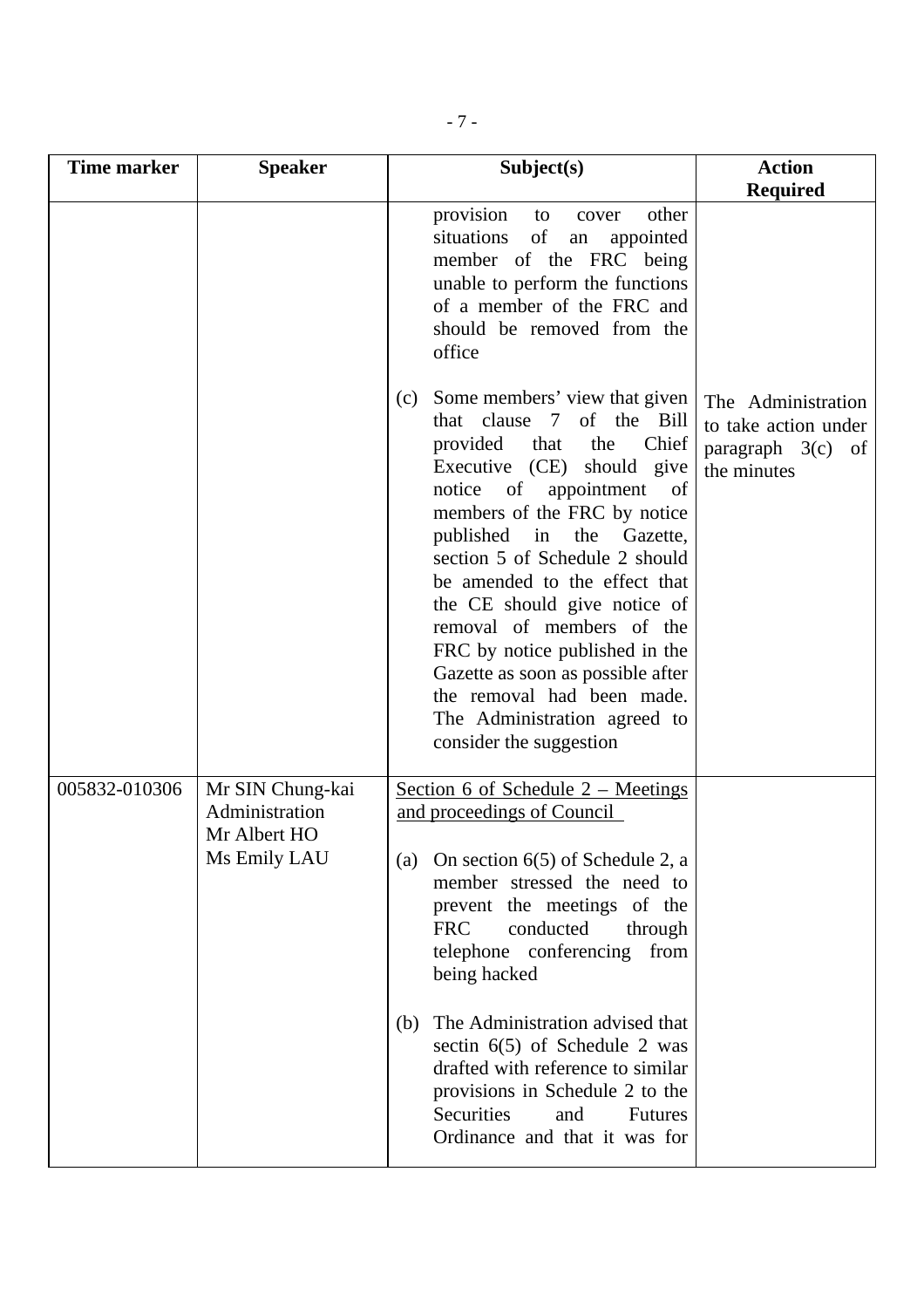| Time marker   | <b>Speaker</b>                                                     | Subject(s)                                                                                                                                                                                                                                                                                                                                                                                                                                                                                                                                  | <b>Action</b><br><b>Required</b>                                                 |
|---------------|--------------------------------------------------------------------|---------------------------------------------------------------------------------------------------------------------------------------------------------------------------------------------------------------------------------------------------------------------------------------------------------------------------------------------------------------------------------------------------------------------------------------------------------------------------------------------------------------------------------------------|----------------------------------------------------------------------------------|
|               |                                                                    | provision<br>other<br>to<br>cover<br>situations<br>of<br>appointed<br>${\rm an}$<br>member of the FRC being<br>unable to perform the functions<br>of a member of the FRC and<br>should be removed from the<br>office                                                                                                                                                                                                                                                                                                                        |                                                                                  |
|               |                                                                    | Some members' view that given<br>(c)<br>that clause 7 of the Bill<br>provided<br>that<br>the<br>Chief<br>Executive (CE) should give<br>of<br>appointment<br>notice<br>of<br>members of the FRC by notice<br>published in<br>the<br>Gazette,<br>section 5 of Schedule 2 should<br>be amended to the effect that<br>the CE should give notice of<br>removal of members of the<br>FRC by notice published in the<br>Gazette as soon as possible after<br>the removal had been made.<br>The Administration agreed to<br>consider the suggestion | The Administration<br>to take action under<br>paragraph $3(c)$ of<br>the minutes |
| 005832-010306 | Mr SIN Chung-kai<br>Administration<br>Mr Albert HO<br>Ms Emily LAU | Section 6 of Schedule $2$ – Meetings<br>and proceedings of Council<br>On section $6(5)$ of Schedule 2, a<br>(a)<br>member stressed the need to<br>prevent the meetings of the<br><b>FRC</b><br>conducted<br>through<br>telephone conferencing from<br>being hacked<br>The Administration advised that<br>(b)<br>sectin $6(5)$ of Schedule 2 was<br>drafted with reference to similar<br>provisions in Schedule 2 to the<br>Securities<br>and<br><b>Futures</b><br>Ordinance and that it was for                                             |                                                                                  |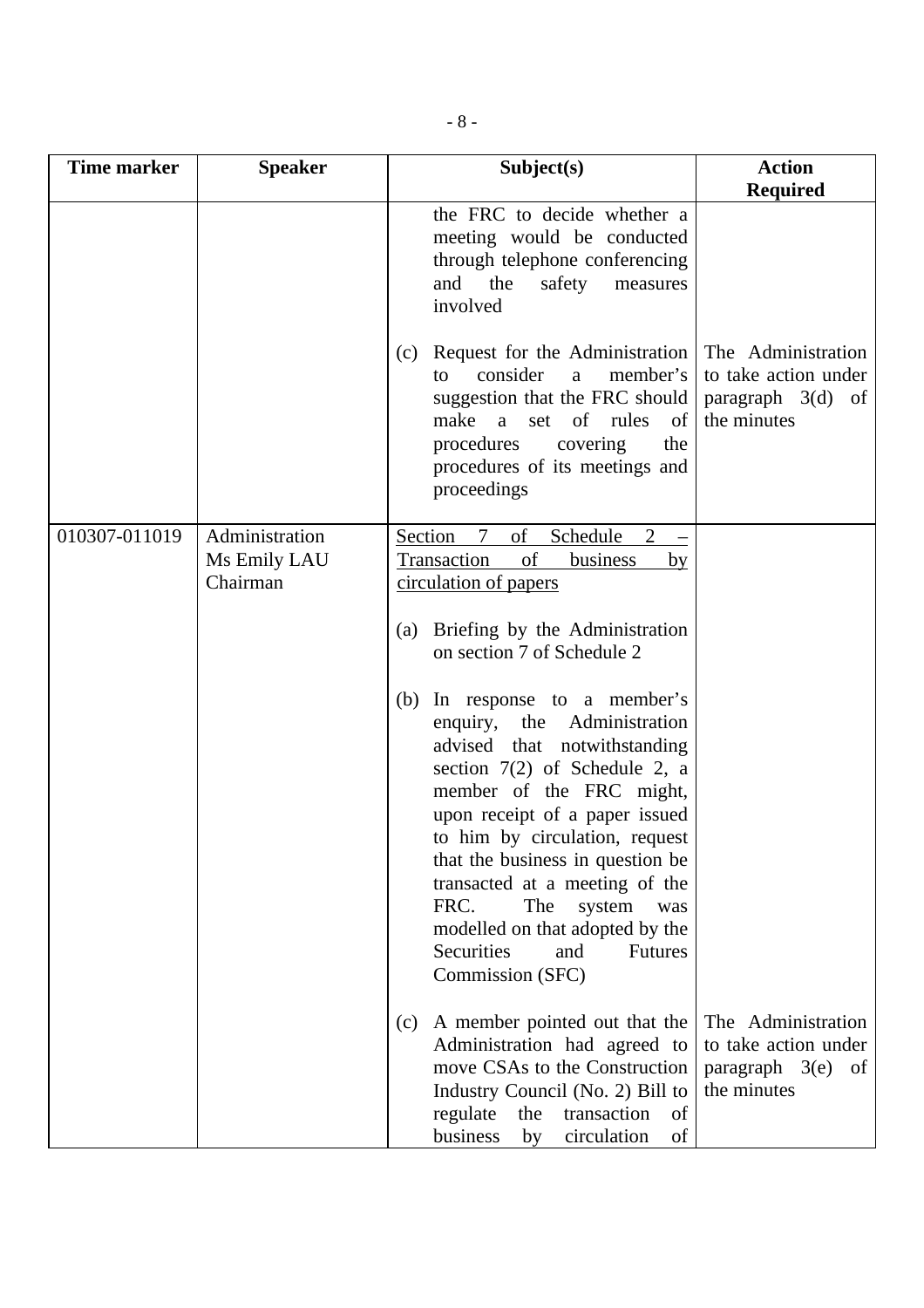| Time marker   | <b>Speaker</b>                             | Subject(s)                                                                                                                                                                                                                                                                                                                                                                                                                                | <b>Action</b><br><b>Required</b>                                                          |
|---------------|--------------------------------------------|-------------------------------------------------------------------------------------------------------------------------------------------------------------------------------------------------------------------------------------------------------------------------------------------------------------------------------------------------------------------------------------------------------------------------------------------|-------------------------------------------------------------------------------------------|
|               |                                            | the FRC to decide whether a<br>meeting would be conducted<br>through telephone conferencing<br>and<br>the<br>safety<br>measures<br>involved                                                                                                                                                                                                                                                                                               |                                                                                           |
|               |                                            | Request for the Administration<br>(c)<br>consider<br>member's<br>a<br>to<br>suggestion that the FRC should<br>make a<br>set of rules<br>of<br>procedures<br>covering<br>the<br>procedures of its meetings and<br>proceedings                                                                                                                                                                                                              | The Administration<br>to take action under<br>paragraph $3(d)$ of<br>the minutes          |
| 010307-011019 | Administration<br>Ms Emily LAU<br>Chairman | Section<br>Schedule<br>$\tau$<br>of<br>2<br>Transaction<br>of<br>business<br>by<br>circulation of papers                                                                                                                                                                                                                                                                                                                                  |                                                                                           |
|               |                                            | Briefing by the Administration<br>(a)<br>on section 7 of Schedule 2                                                                                                                                                                                                                                                                                                                                                                       |                                                                                           |
|               |                                            | In response to a member's<br>(b)<br>the Administration<br>enquiry,<br>advised that notwithstanding<br>section $7(2)$ of Schedule 2, a<br>member of the FRC might,<br>upon receipt of a paper issued<br>to him by circulation, request<br>that the business in question be<br>transacted at a meeting of the<br>FRC.<br>The<br>system<br>was<br>modelled on that adopted by the<br>Securities<br>and<br><b>Futures</b><br>Commission (SFC) |                                                                                           |
|               |                                            | A member pointed out that the<br>(c)<br>Administration had agreed to<br>move CSAs to the Construction<br>Industry Council (No. 2) Bill to<br>regulate<br>transaction<br>the<br>of<br>business<br>circulation<br>of<br>by                                                                                                                                                                                                                  | The Administration<br>to take action under<br>$paragraph \quad 3(e)$<br>of<br>the minutes |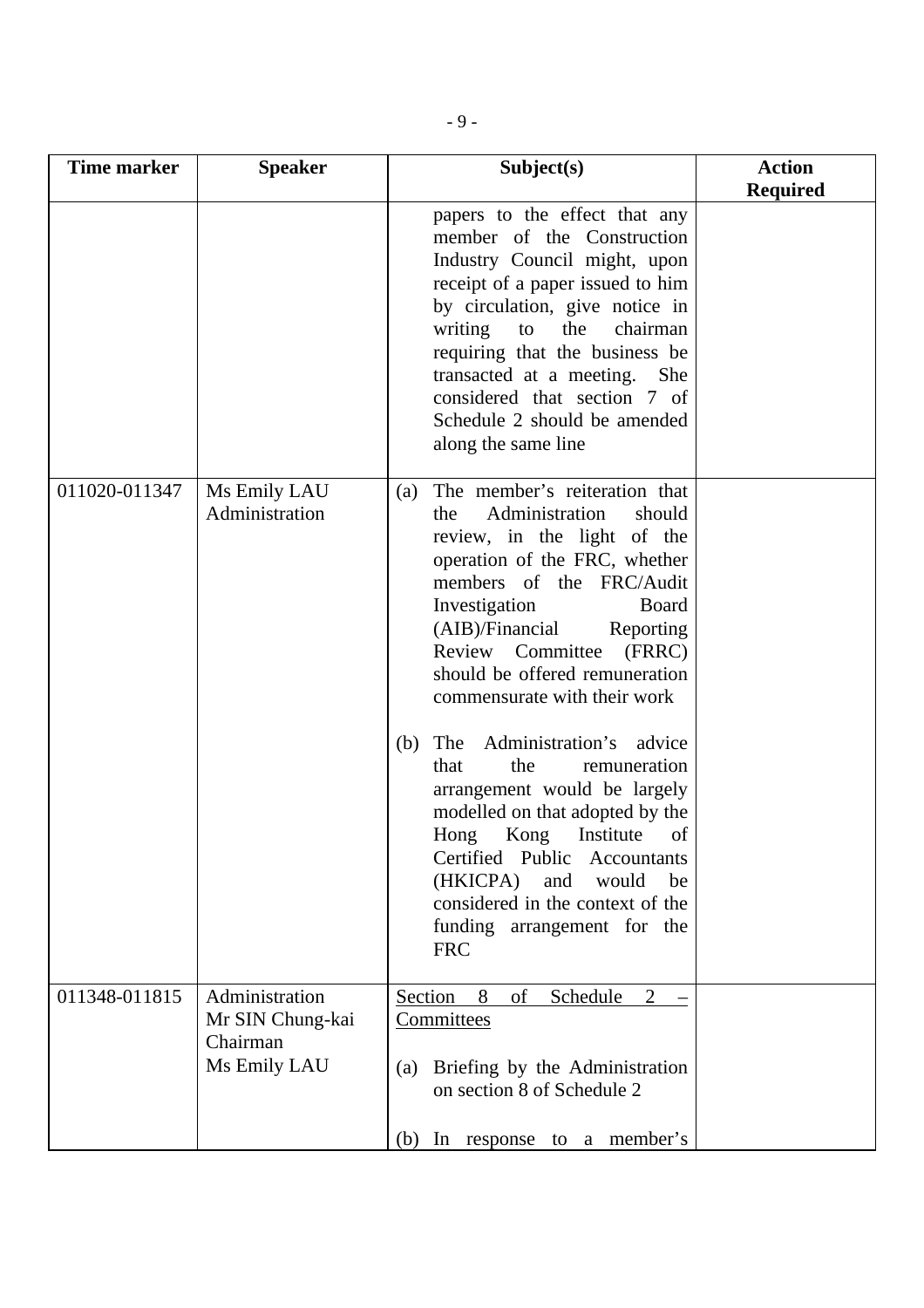| <b>Time marker</b> | <b>Speaker</b>                                                 | Subject(s)                                                                                                                                                                                                                                                                                                                                                                                                                                                                                                                                                                                                                                                               | <b>Action</b><br><b>Required</b> |
|--------------------|----------------------------------------------------------------|--------------------------------------------------------------------------------------------------------------------------------------------------------------------------------------------------------------------------------------------------------------------------------------------------------------------------------------------------------------------------------------------------------------------------------------------------------------------------------------------------------------------------------------------------------------------------------------------------------------------------------------------------------------------------|----------------------------------|
|                    |                                                                | papers to the effect that any<br>member of the Construction<br>Industry Council might, upon<br>receipt of a paper issued to him<br>by circulation, give notice in<br>writing<br>the<br>chairman<br>to<br>requiring that the business be<br>transacted at a meeting.<br>She<br>considered that section 7 of<br>Schedule 2 should be amended<br>along the same line                                                                                                                                                                                                                                                                                                        |                                  |
| 011020-011347      | Ms Emily LAU<br>Administration                                 | The member's reiteration that<br>(a)<br>Administration<br>should<br>the<br>review, in the light of the<br>operation of the FRC, whether<br>members of the FRC/Audit<br>Investigation<br>Board<br>(AIB)/Financial<br>Reporting<br>Review Committee<br>(FRRC)<br>should be offered remuneration<br>commensurate with their work<br>Administration's advice<br>The<br>(b)<br>the<br>that<br>remuneration<br>arrangement would be largely<br>modelled on that adopted by the<br>Kong<br>Institute<br>Hong<br>of<br>Certified Public<br><b>Accountants</b><br>would<br>(HKICPA)<br>and<br>be<br>considered in the context of the<br>funding arrangement for the<br><b>FRC</b> |                                  |
| 011348-011815      | Administration<br>Mr SIN Chung-kai<br>Chairman<br>Ms Emily LAU | 8<br>$\overline{2}$<br>Section<br>of<br>Schedule<br>Committees<br>Briefing by the Administration<br>(a)<br>on section 8 of Schedule 2<br>In response to a member's<br>(b)                                                                                                                                                                                                                                                                                                                                                                                                                                                                                                |                                  |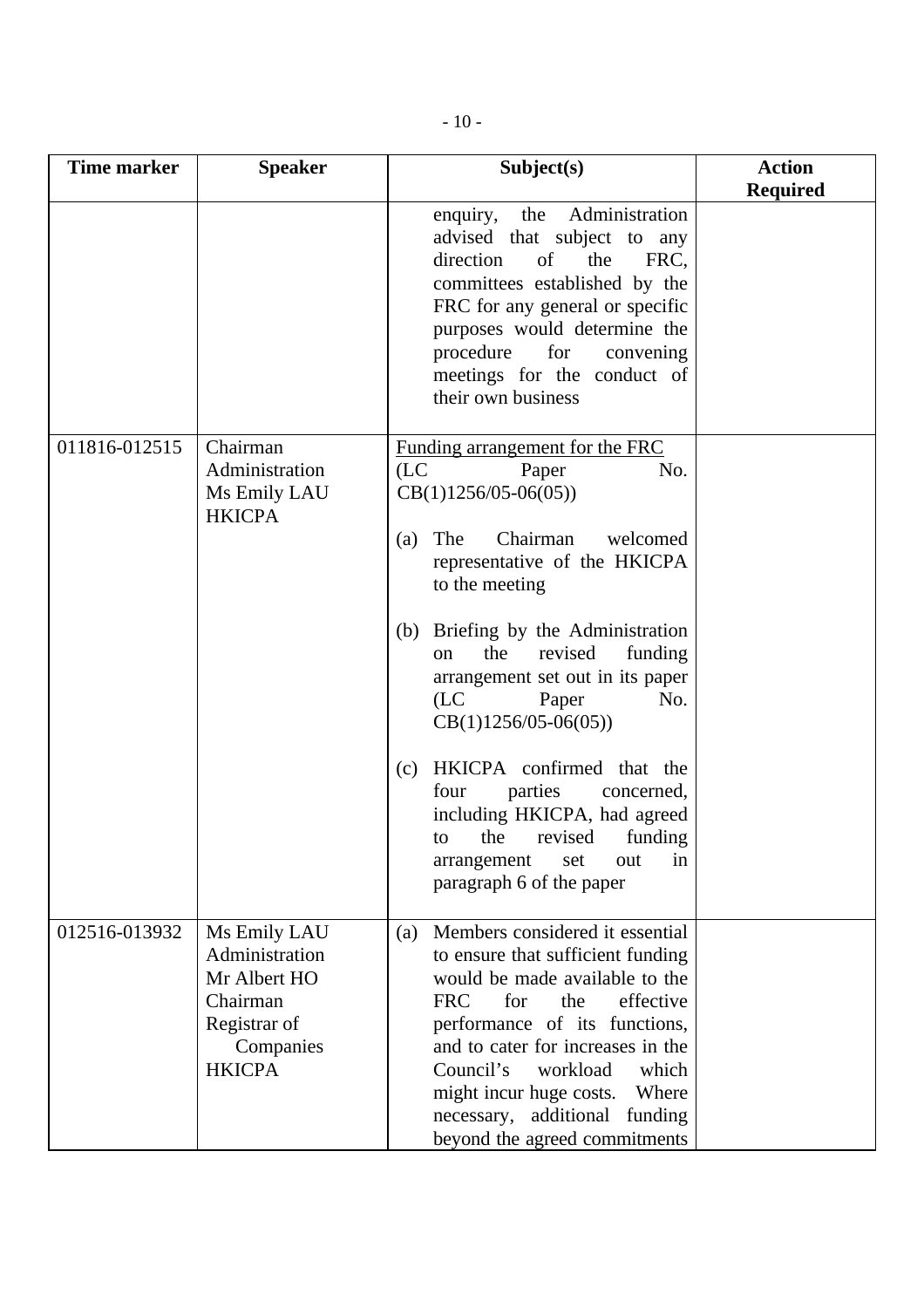| <b>Time marker</b> | <b>Speaker</b>                                                                                           | Subject(s)                                                                                                                                                                                                                                                                                                                                                                                                                                                                                                                                         | <b>Action</b><br><b>Required</b> |
|--------------------|----------------------------------------------------------------------------------------------------------|----------------------------------------------------------------------------------------------------------------------------------------------------------------------------------------------------------------------------------------------------------------------------------------------------------------------------------------------------------------------------------------------------------------------------------------------------------------------------------------------------------------------------------------------------|----------------------------------|
|                    |                                                                                                          | the Administration<br>enquiry,<br>advised that subject to any<br>direction<br>of<br>the<br>FRC,<br>committees established by the<br>FRC for any general or specific<br>purposes would determine the<br>procedure<br>for<br>convening<br>meetings for the conduct of<br>their own business                                                                                                                                                                                                                                                          |                                  |
| 011816-012515      | Chairman<br>Administration<br>Ms Emily LAU<br><b>HKICPA</b>                                              | Funding arrangement for the FRC<br>(LC)<br>Paper<br>No.<br>$CB(1)1256/05-06(05))$<br>Chairman<br>The<br>welcomed<br>(a)<br>representative of the HKICPA<br>to the meeting<br>Briefing by the Administration<br>(b)<br>revised<br>the<br>funding<br>on<br>arrangement set out in its paper<br>(LC)<br>Paper<br>No.<br>$CB(1)1256/05-06(05))$<br>HKICPA confirmed that the<br>(c)<br>four<br>parties<br>concerned,<br>including HKICPA, had agreed<br>revised<br>the<br>funding<br>to<br>in<br>arrangement<br>out<br>set<br>paragraph 6 of the paper |                                  |
| 012516-013932      | Ms Emily LAU<br>Administration<br>Mr Albert HO<br>Chairman<br>Registrar of<br>Companies<br><b>HKICPA</b> | Members considered it essential<br>(a)<br>to ensure that sufficient funding<br>would be made available to the<br><b>FRC</b><br>the<br>effective<br>for<br>performance of its functions,<br>and to cater for increases in the<br>Council's<br>workload<br>which<br>might incur huge costs.<br>Where<br>additional funding<br>necessary,<br>beyond the agreed commitments                                                                                                                                                                            |                                  |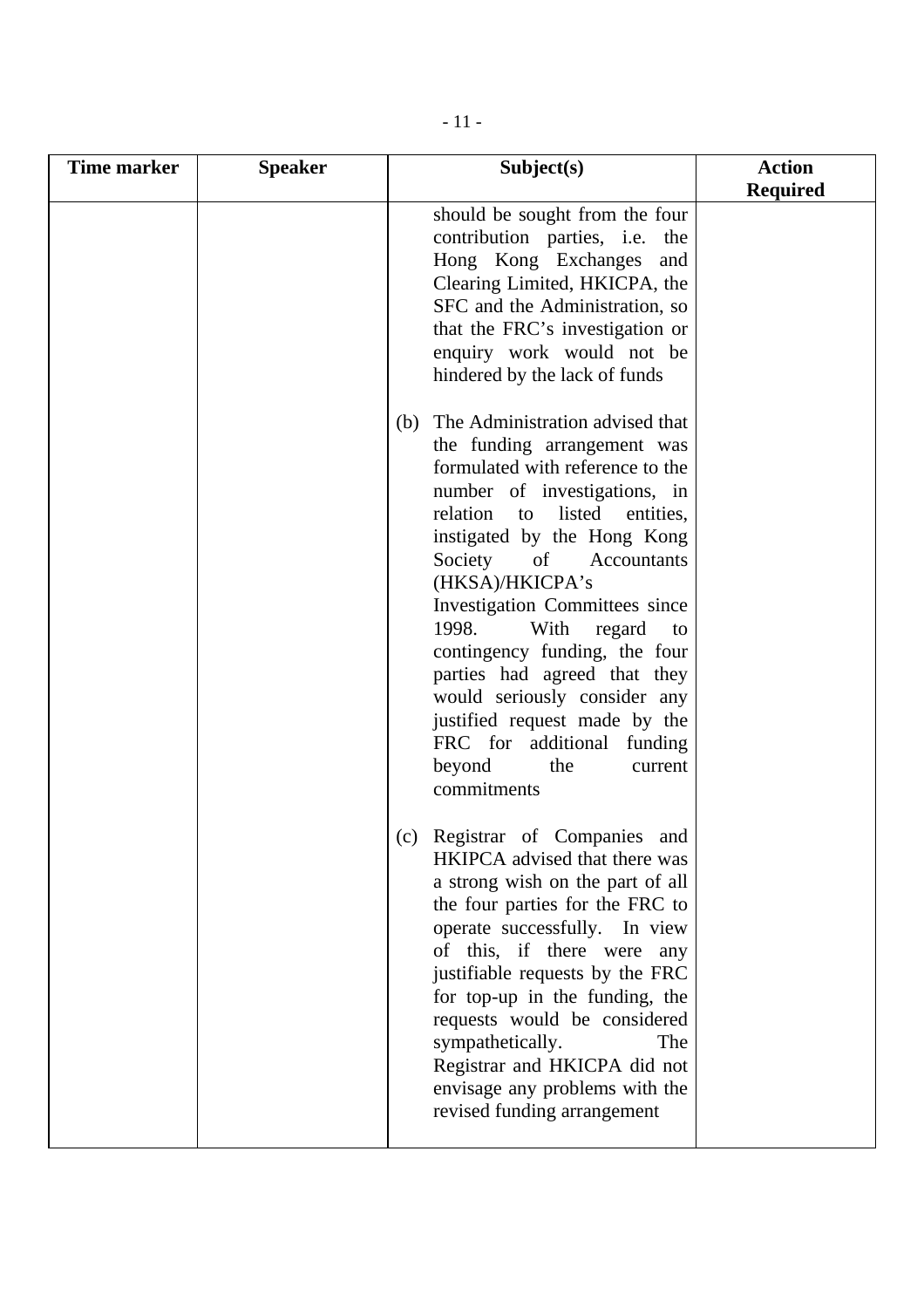| <b>Time marker</b> | <b>Speaker</b> | Subject(s)                                                                                                                                                                                                                                                                                                                                                                                                                                                                                                                                         | <b>Action</b><br><b>Required</b> |
|--------------------|----------------|----------------------------------------------------------------------------------------------------------------------------------------------------------------------------------------------------------------------------------------------------------------------------------------------------------------------------------------------------------------------------------------------------------------------------------------------------------------------------------------------------------------------------------------------------|----------------------------------|
|                    |                | should be sought from the four<br>contribution parties, i.e. the<br>Hong Kong Exchanges and<br>Clearing Limited, HKICPA, the<br>SFC and the Administration, so<br>that the FRC's investigation or<br>enquiry work would not be<br>hindered by the lack of funds                                                                                                                                                                                                                                                                                    |                                  |
|                    |                | The Administration advised that<br>(b)<br>the funding arrangement was<br>formulated with reference to the<br>number of investigations, in<br>relation to<br>listed entities,<br>instigated by the Hong Kong<br>Society<br>$\sigma$<br>Accountants<br>(HKSA)/HKICPA's<br>Investigation Committees since<br>1998.<br>With<br>regard<br>to<br>contingency funding, the four<br>parties had agreed that they<br>would seriously consider any<br>justified request made by the<br>FRC for additional funding<br>beyond<br>the<br>current<br>commitments |                                  |
|                    |                | Registrar of Companies and<br>(c)<br>HKIPCA advised that there was<br>a strong wish on the part of all<br>the four parties for the FRC to<br>operate successfully. In view<br>of this, if there were any<br>justifiable requests by the FRC<br>for top-up in the funding, the<br>requests would be considered<br>sympathetically.<br>The<br>Registrar and HKICPA did not<br>envisage any problems with the<br>revised funding arrangement                                                                                                          |                                  |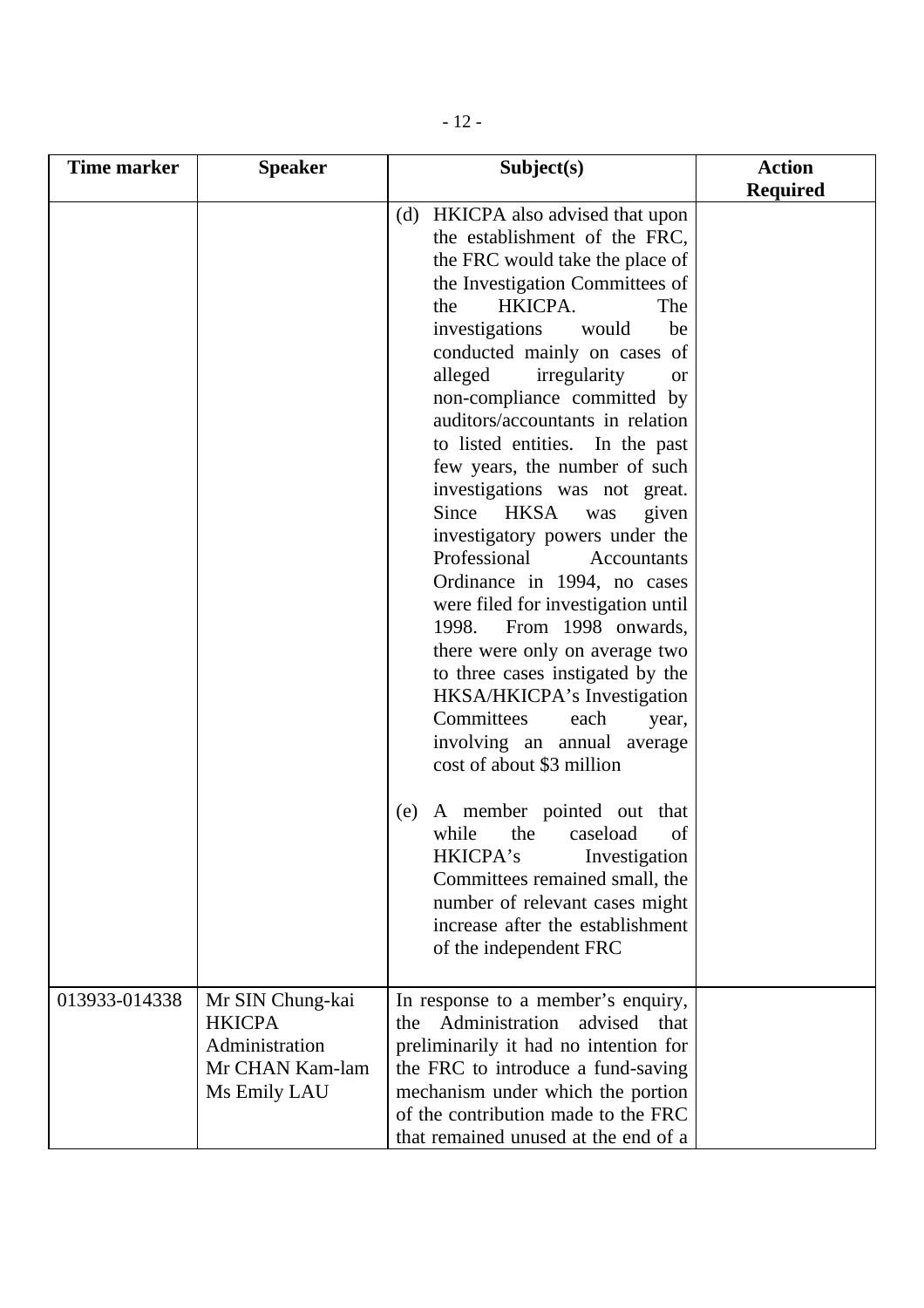| <b>Time marker</b> | <b>Speaker</b>                                                                         | Subject(s)                                                                                                                                                                                                                                                                                                                                                                                                                                                                                                                                                                                                                                                                                                                                                                                                                                                                                                                  | <b>Action</b>   |
|--------------------|----------------------------------------------------------------------------------------|-----------------------------------------------------------------------------------------------------------------------------------------------------------------------------------------------------------------------------------------------------------------------------------------------------------------------------------------------------------------------------------------------------------------------------------------------------------------------------------------------------------------------------------------------------------------------------------------------------------------------------------------------------------------------------------------------------------------------------------------------------------------------------------------------------------------------------------------------------------------------------------------------------------------------------|-----------------|
|                    |                                                                                        |                                                                                                                                                                                                                                                                                                                                                                                                                                                                                                                                                                                                                                                                                                                                                                                                                                                                                                                             |                 |
|                    |                                                                                        | (d) HKICPA also advised that upon<br>the establishment of the FRC,<br>the FRC would take the place of<br>the Investigation Committees of<br>HKICPA.<br>the<br>The<br>investigations<br>would<br>be<br>conducted mainly on cases of<br>alleged<br>irregularity<br><b>or</b><br>non-compliance committed by<br>auditors/accountants in relation<br>to listed entities. In the past<br>few years, the number of such<br>investigations was not great.<br>Since HKSA<br>given<br>was<br>investigatory powers under the<br>Professional<br>Accountants<br>Ordinance in 1994, no cases<br>were filed for investigation until<br>From 1998 onwards,<br>1998.<br>there were only on average two<br>to three cases instigated by the<br>HKSA/HKICPA's Investigation<br>Committees<br>each<br>year,<br>involving an annual average<br>cost of about \$3 million<br>A member pointed out that<br>(e)<br>while<br>the<br>caseload<br>of | <b>Required</b> |
|                    |                                                                                        | HKICPA's<br>Investigation<br>Committees remained small, the<br>number of relevant cases might<br>increase after the establishment<br>of the independent FRC                                                                                                                                                                                                                                                                                                                                                                                                                                                                                                                                                                                                                                                                                                                                                                 |                 |
| 013933-014338      | Mr SIN Chung-kai<br><b>HKICPA</b><br>Administration<br>Mr CHAN Kam-lam<br>Ms Emily LAU | In response to a member's enquiry,<br>Administration advised that<br>the<br>preliminarily it had no intention for<br>the FRC to introduce a fund-saving<br>mechanism under which the portion<br>of the contribution made to the FRC<br>that remained unused at the end of a                                                                                                                                                                                                                                                                                                                                                                                                                                                                                                                                                                                                                                                 |                 |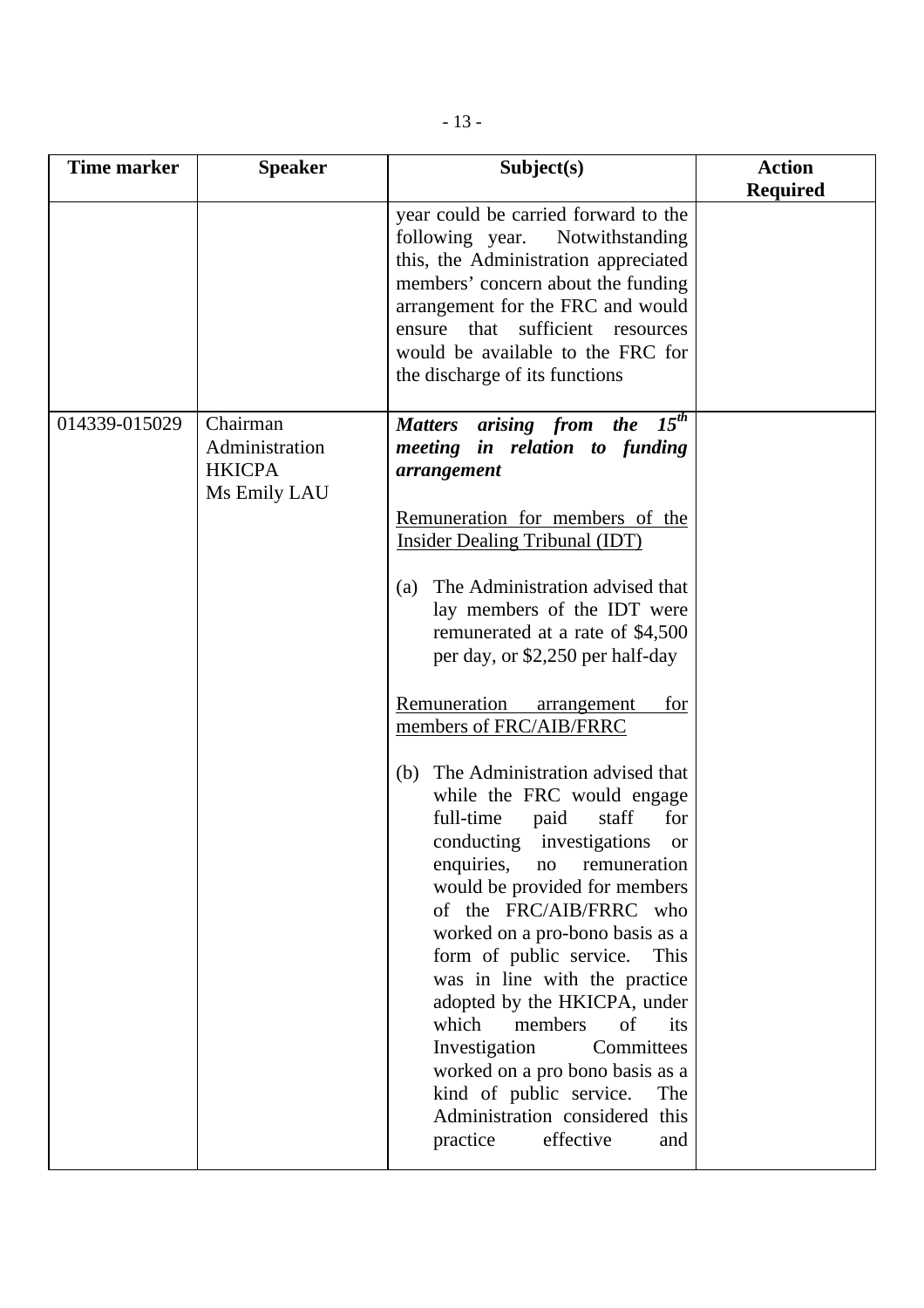| <b>Time marker</b> | <b>Speaker</b>                                              | Subject(s)                                                                                                                                                                                                                                                                                                                                                                                                                                                                                                                                                                                                                                                                                                                                                                                                                                                                                                                                                                                    | <b>Action</b><br><b>Required</b> |
|--------------------|-------------------------------------------------------------|-----------------------------------------------------------------------------------------------------------------------------------------------------------------------------------------------------------------------------------------------------------------------------------------------------------------------------------------------------------------------------------------------------------------------------------------------------------------------------------------------------------------------------------------------------------------------------------------------------------------------------------------------------------------------------------------------------------------------------------------------------------------------------------------------------------------------------------------------------------------------------------------------------------------------------------------------------------------------------------------------|----------------------------------|
|                    |                                                             | year could be carried forward to the<br>following year.<br>Notwithstanding<br>this, the Administration appreciated<br>members' concern about the funding<br>arrangement for the FRC and would<br>ensure that sufficient resources<br>would be available to the FRC for<br>the discharge of its functions                                                                                                                                                                                                                                                                                                                                                                                                                                                                                                                                                                                                                                                                                      |                                  |
| 014339-015029      | Chairman<br>Administration<br><b>HKICPA</b><br>Ms Emily LAU | Matters arising from the 15 <sup>th</sup><br>meeting in relation to funding<br>arrangement<br>Remuneration for members of the<br><b>Insider Dealing Tribunal (IDT)</b><br>The Administration advised that<br>(a)<br>lay members of the IDT were<br>remunerated at a rate of \$4,500<br>per day, or \$2,250 per half-day<br>Remuneration<br>for<br>arrangement<br>members of FRC/AIB/FRRC<br>The Administration advised that<br>(b)<br>while the FRC would engage<br>full-time<br>staff<br>paid<br>for<br>conducting investigations<br><b>or</b><br>enquiries,<br>remuneration<br>no<br>would be provided for members<br>of the FRC/AIB/FRRC who<br>worked on a pro-bono basis as a<br>form of public service.<br>This<br>was in line with the practice<br>adopted by the HKICPA, under<br>which<br>members<br>of<br>its<br>Committees<br>Investigation<br>worked on a pro bono basis as a<br>kind of public service.<br>The<br>Administration considered this<br>effective<br>practice<br>and |                                  |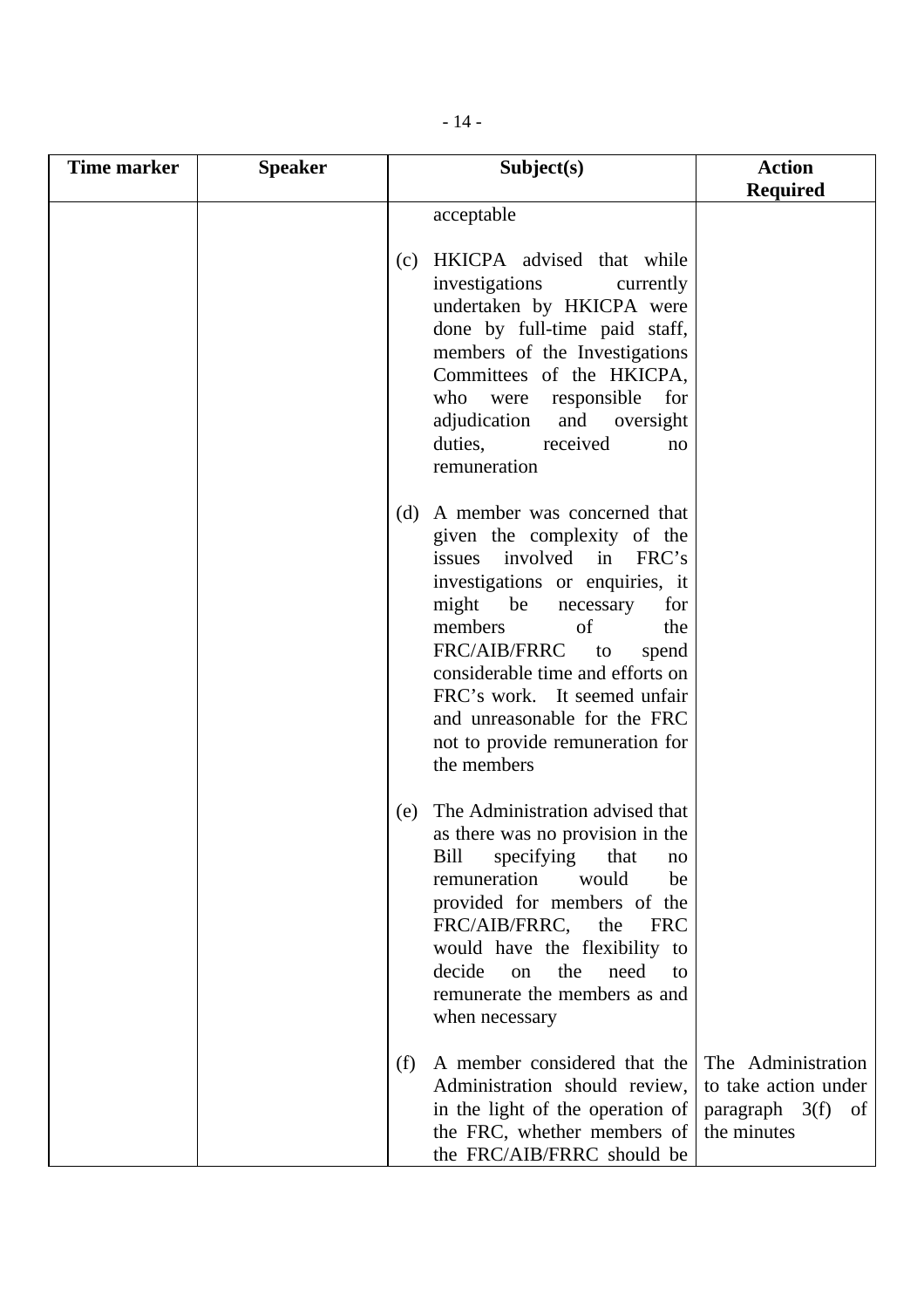| Time marker | <b>Speaker</b> | Subject(s)                                                                                                                                                                                                                                                                                                                                                                                         | <b>Action</b><br><b>Required</b>                                               |
|-------------|----------------|----------------------------------------------------------------------------------------------------------------------------------------------------------------------------------------------------------------------------------------------------------------------------------------------------------------------------------------------------------------------------------------------------|--------------------------------------------------------------------------------|
|             |                | acceptable                                                                                                                                                                                                                                                                                                                                                                                         |                                                                                |
|             |                | (c) HKICPA advised that while<br>investigations<br>currently<br>undertaken by HKICPA were<br>done by full-time paid staff,<br>members of the Investigations<br>Committees of the HKICPA,<br>who<br>were responsible<br>for<br>adjudication<br>and<br>oversight<br>received<br>duties,<br>no<br>remuneration                                                                                        |                                                                                |
|             |                | A member was concerned that<br>(d)<br>given the complexity of the<br>issues involved in FRC's<br>investigations or enquiries, it<br>might be<br>for<br>necessary<br>members<br>of<br>the<br>FRC/AIB/FRRC<br>spend<br>$\overline{\mathbf{t}}$<br>considerable time and efforts on<br>FRC's work. It seemed unfair<br>and unreasonable for the FRC<br>not to provide remuneration for<br>the members |                                                                                |
|             |                | The Administration advised that<br>(e)<br>as there was no provision in the<br>Bill<br>specifying<br>that<br>no<br>remuneration<br>would<br>be<br>provided for members of the<br>FRC/AIB/FRRC,<br>the<br><b>FRC</b><br>would have the flexibility to<br>decide<br>the<br>need<br>on<br>to<br>remunerate the members as and<br>when necessary                                                        |                                                                                |
|             |                | A member considered that the<br>(f)<br>Administration should review,<br>in the light of the operation of<br>the FRC, whether members of<br>the FRC/AIB/FRRC should be                                                                                                                                                                                                                              | The Administration<br>to take action under<br>paragraph 3(f) of<br>the minutes |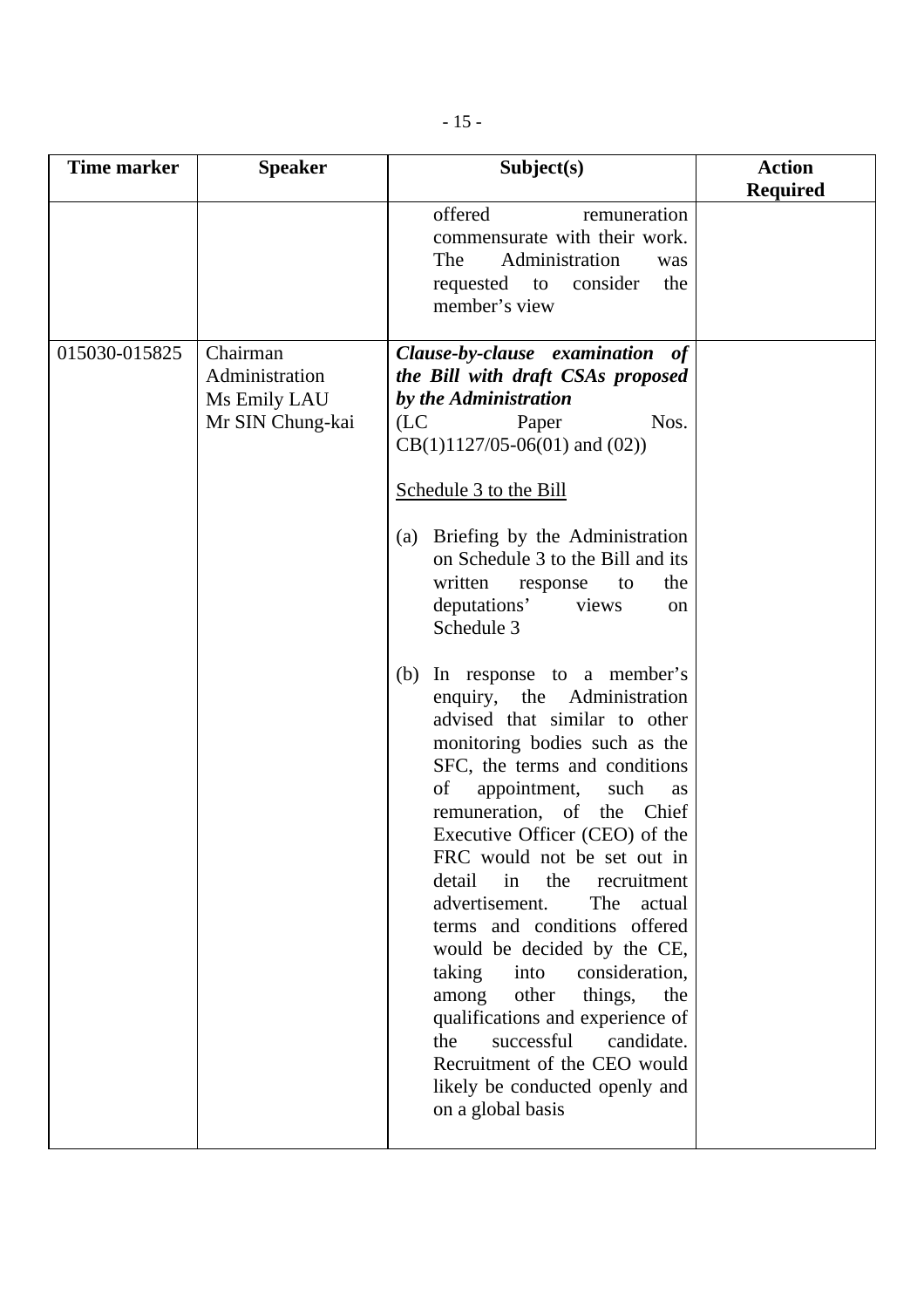| <b>Time marker</b> | <b>Speaker</b>                                                 | Subject(s)                                                                                                                                                                                                                                                                                                                                                                                                                                                                                                                                                                                                                                                                                                                                                                                                                                                                                                                                                                                                                                              | <b>Action</b><br><b>Required</b> |
|--------------------|----------------------------------------------------------------|---------------------------------------------------------------------------------------------------------------------------------------------------------------------------------------------------------------------------------------------------------------------------------------------------------------------------------------------------------------------------------------------------------------------------------------------------------------------------------------------------------------------------------------------------------------------------------------------------------------------------------------------------------------------------------------------------------------------------------------------------------------------------------------------------------------------------------------------------------------------------------------------------------------------------------------------------------------------------------------------------------------------------------------------------------|----------------------------------|
|                    |                                                                | offered<br>remuneration<br>commensurate with their work.<br>Administration<br>The<br>was<br>requested to<br>consider<br>the<br>member's view                                                                                                                                                                                                                                                                                                                                                                                                                                                                                                                                                                                                                                                                                                                                                                                                                                                                                                            |                                  |
| 015030-015825      | Chairman<br>Administration<br>Ms Emily LAU<br>Mr SIN Chung-kai | Clause-by-clause examination of<br>the Bill with draft CSAs proposed<br>by the Administration<br>(LC)<br>Nos.<br>Paper<br>$CB(1)1127/05-06(01)$ and $(02)$ )<br>Schedule 3 to the Bill<br>Briefing by the Administration<br>(a)<br>on Schedule 3 to the Bill and its<br>written<br>the<br>response<br>to<br>deputations'<br>views<br><sub>on</sub><br>Schedule 3<br>In response to a member's<br>(b)<br>enquiry, the Administration<br>advised that similar to other<br>monitoring bodies such as the<br>SFC, the terms and conditions<br>of<br>appointment,<br>such<br>as<br>remuneration, of the Chief<br>Executive Officer (CEO) of the<br>FRC would not be set out in<br>detail<br>in<br>the<br>recruitment<br>advertisement.<br>The<br>actual<br>terms and conditions offered<br>would be decided by the CE,<br>taking<br>consideration,<br>into<br>other<br>things,<br>the<br>among<br>qualifications and experience of<br>successful<br>the<br>candidate.<br>Recruitment of the CEO would<br>likely be conducted openly and<br>on a global basis |                                  |